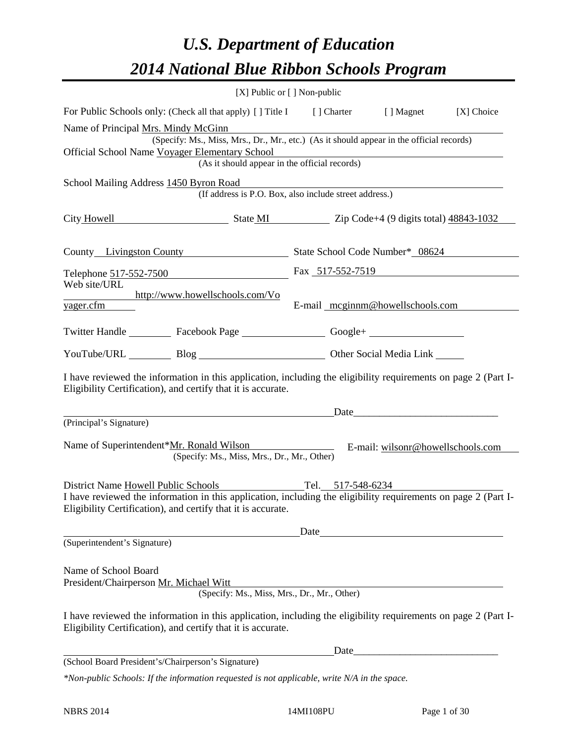# *U.S. Department of Education 2014 National Blue Ribbon Schools Program*

|                                                                                                                                                                                |                                                                                          | [X] Public or [] Non-public |                                  |            |  |  |  |
|--------------------------------------------------------------------------------------------------------------------------------------------------------------------------------|------------------------------------------------------------------------------------------|-----------------------------|----------------------------------|------------|--|--|--|
| For Public Schools only: (Check all that apply) [] Title I [] Charter [] Magnet                                                                                                |                                                                                          |                             |                                  | [X] Choice |  |  |  |
| Name of Principal Mrs. Mindy McGinn                                                                                                                                            | (Specify: Ms., Miss, Mrs., Dr., Mr., etc.) (As it should appear in the official records) |                             |                                  |            |  |  |  |
| Official School Name Voyager Elementary School<br>Elementary School<br>(As it should appear in the official records)                                                           |                                                                                          |                             |                                  |            |  |  |  |
| School Mailing Address 1450 Byron Road                                                                                                                                         |                                                                                          |                             |                                  |            |  |  |  |
|                                                                                                                                                                                | (If address is P.O. Box, also include street address.)                                   |                             |                                  |            |  |  |  |
| City Howell State MI State MI Zip Code+4 (9 digits total) 48843-1032                                                                                                           |                                                                                          |                             |                                  |            |  |  |  |
| County Livingston County State School Code Number* 08624                                                                                                                       |                                                                                          |                             |                                  |            |  |  |  |
| Telephone 517-552-7500 Fax 517-552-7519                                                                                                                                        |                                                                                          |                             |                                  |            |  |  |  |
| Web site/URL<br>http://www.howellschools.com/Vo<br>yager.cfm                                                                                                                   |                                                                                          |                             | E-mail meginnm@howellschools.com |            |  |  |  |
| Twitter Handle ___________ Facebook Page __________________ Google+ ____________                                                                                               |                                                                                          |                             |                                  |            |  |  |  |
| YouTube/URL Blog Blog Diher Social Media Link                                                                                                                                  |                                                                                          |                             |                                  |            |  |  |  |
| I have reviewed the information in this application, including the eligibility requirements on page 2 (Part I-<br>Eligibility Certification), and certify that it is accurate. |                                                                                          |                             |                                  |            |  |  |  |
|                                                                                                                                                                                | <u>Date</u>                                                                              |                             |                                  |            |  |  |  |
| (Principal's Signature)                                                                                                                                                        |                                                                                          |                             |                                  |            |  |  |  |
| Name of Superintendent*Mr. Ronald Wilson E-mail: wilsonr@howellschools.com                                                                                                     | (Specify: Ms., Miss, Mrs., Dr., Mr., Other)                                              |                             |                                  |            |  |  |  |
| District Name Howell Public Schools Tel. 517-548-6234                                                                                                                          |                                                                                          |                             |                                  |            |  |  |  |
| I have reviewed the information in this application, including the eligibility requirements on page 2 (Part I-<br>Eligibility Certification), and certify that it is accurate. |                                                                                          |                             |                                  |            |  |  |  |
|                                                                                                                                                                                |                                                                                          | Date                        |                                  |            |  |  |  |
| (Superintendent's Signature)                                                                                                                                                   |                                                                                          |                             |                                  |            |  |  |  |
| Name of School Board<br>President/Chairperson Mr. Michael Witt                                                                                                                 | (Specify: Ms., Miss, Mrs., Dr., Mr., Other)                                              |                             |                                  |            |  |  |  |
| I have reviewed the information in this application, including the eligibility requirements on page 2 (Part I-<br>Eligibility Certification), and certify that it is accurate. |                                                                                          |                             |                                  |            |  |  |  |
|                                                                                                                                                                                |                                                                                          |                             |                                  |            |  |  |  |
| (School Board President's/Chairperson's Signature)                                                                                                                             |                                                                                          |                             |                                  |            |  |  |  |
| *Non-public Schools: If the information requested is not applicable, write N/A in the space.                                                                                   |                                                                                          |                             |                                  |            |  |  |  |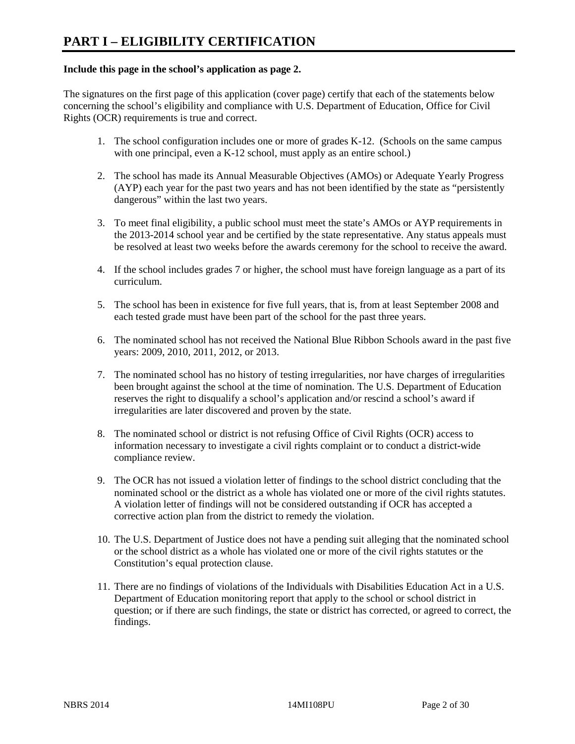#### **Include this page in the school's application as page 2.**

The signatures on the first page of this application (cover page) certify that each of the statements below concerning the school's eligibility and compliance with U.S. Department of Education, Office for Civil Rights (OCR) requirements is true and correct.

- 1. The school configuration includes one or more of grades K-12. (Schools on the same campus with one principal, even a K-12 school, must apply as an entire school.)
- 2. The school has made its Annual Measurable Objectives (AMOs) or Adequate Yearly Progress (AYP) each year for the past two years and has not been identified by the state as "persistently dangerous" within the last two years.
- 3. To meet final eligibility, a public school must meet the state's AMOs or AYP requirements in the 2013-2014 school year and be certified by the state representative. Any status appeals must be resolved at least two weeks before the awards ceremony for the school to receive the award.
- 4. If the school includes grades 7 or higher, the school must have foreign language as a part of its curriculum.
- 5. The school has been in existence for five full years, that is, from at least September 2008 and each tested grade must have been part of the school for the past three years.
- 6. The nominated school has not received the National Blue Ribbon Schools award in the past five years: 2009, 2010, 2011, 2012, or 2013.
- 7. The nominated school has no history of testing irregularities, nor have charges of irregularities been brought against the school at the time of nomination. The U.S. Department of Education reserves the right to disqualify a school's application and/or rescind a school's award if irregularities are later discovered and proven by the state.
- 8. The nominated school or district is not refusing Office of Civil Rights (OCR) access to information necessary to investigate a civil rights complaint or to conduct a district-wide compliance review.
- 9. The OCR has not issued a violation letter of findings to the school district concluding that the nominated school or the district as a whole has violated one or more of the civil rights statutes. A violation letter of findings will not be considered outstanding if OCR has accepted a corrective action plan from the district to remedy the violation.
- 10. The U.S. Department of Justice does not have a pending suit alleging that the nominated school or the school district as a whole has violated one or more of the civil rights statutes or the Constitution's equal protection clause.
- 11. There are no findings of violations of the Individuals with Disabilities Education Act in a U.S. Department of Education monitoring report that apply to the school or school district in question; or if there are such findings, the state or district has corrected, or agreed to correct, the findings.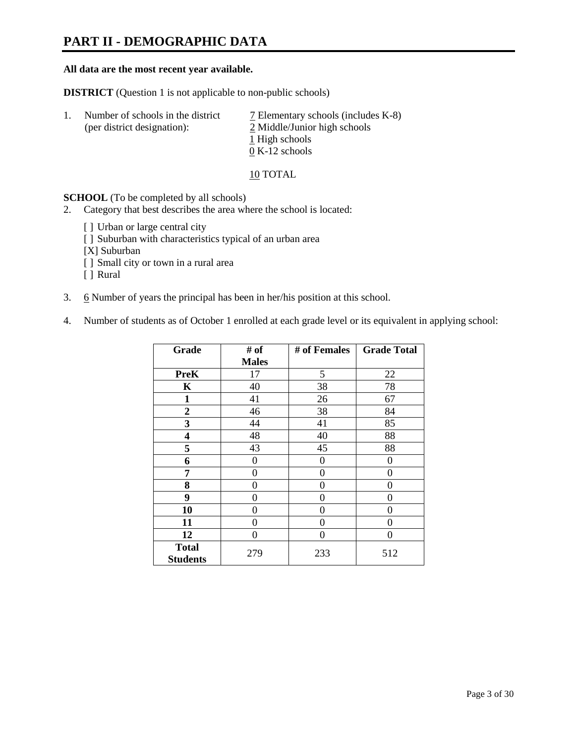# **PART II - DEMOGRAPHIC DATA**

#### **All data are the most recent year available.**

**DISTRICT** (Question 1 is not applicable to non-public schools)

| -1. | Number of schools in the district<br>(per district designation): | $\overline{2}$ Elementary schools (includes K-8)<br>2 Middle/Junior high schools |
|-----|------------------------------------------------------------------|----------------------------------------------------------------------------------|
|     |                                                                  | 1 High schools                                                                   |
|     |                                                                  | $0 K-12$ schools                                                                 |

10 TOTAL

**SCHOOL** (To be completed by all schools)

- 2. Category that best describes the area where the school is located:
	- [] Urban or large central city
	- [ ] Suburban with characteristics typical of an urban area
	- [X] Suburban
	- [ ] Small city or town in a rural area
	- [ ] Rural
- 3. 6 Number of years the principal has been in her/his position at this school.
- 4. Number of students as of October 1 enrolled at each grade level or its equivalent in applying school:

| Grade                           | # of         | # of Females | <b>Grade Total</b> |
|---------------------------------|--------------|--------------|--------------------|
|                                 | <b>Males</b> |              |                    |
| <b>PreK</b>                     | 17           | 5            | 22                 |
| K                               | 40           | 38           | 78                 |
| $\mathbf{1}$                    | 41           | 26           | 67                 |
| $\overline{2}$                  | 46           | 38           | 84                 |
| 3                               | 44           | 41           | 85                 |
| 4                               | 48           | 40           | 88                 |
| 5                               | 43           | 45           | 88                 |
| 6                               | 0            | 0            | 0                  |
| 7                               | 0            | 0            | 0                  |
| 8                               | 0            | 0            | 0                  |
| 9                               | 0            | 0            | 0                  |
| 10                              | 0            | 0            | 0                  |
| 11                              | 0            | 0            | 0                  |
| 12                              | 0            | 0            | 0                  |
| <b>Total</b><br><b>Students</b> | 279          | 233          | 512                |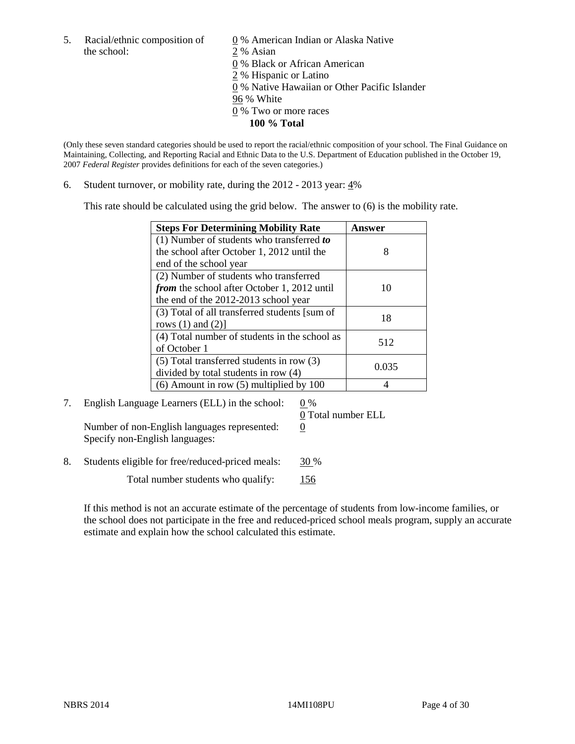5. Racial/ethnic composition of  $\qquad \qquad \underline{0}$  % American Indian or Alaska Native the school: 2 % Asian

 0 % Black or African American 2 % Hispanic or Latino 0 % Native Hawaiian or Other Pacific Islander 96 % White 0 % Two or more races **100 % Total** 

(Only these seven standard categories should be used to report the racial/ethnic composition of your school. The Final Guidance on Maintaining, Collecting, and Reporting Racial and Ethnic Data to the U.S. Department of Education published in the October 19, 2007 *Federal Register* provides definitions for each of the seven categories.)

6. Student turnover, or mobility rate, during the 2012 - 2013 year: 4%

This rate should be calculated using the grid below. The answer to (6) is the mobility rate.

| <b>Steps For Determining Mobility Rate</b>         | Answer |
|----------------------------------------------------|--------|
| (1) Number of students who transferred to          |        |
| the school after October 1, 2012 until the         | 8      |
| end of the school year                             |        |
| (2) Number of students who transferred             |        |
| <i>from</i> the school after October 1, 2012 until | 10     |
| the end of the 2012-2013 school year               |        |
| (3) Total of all transferred students [sum of      | 18     |
| rows $(1)$ and $(2)$ ]                             |        |
| (4) Total number of students in the school as      | 512    |
| of October 1                                       |        |
| $(5)$ Total transferred students in row $(3)$      | 0.035  |
| divided by total students in row (4)               |        |
| $(6)$ Amount in row $(5)$ multiplied by 100        |        |

7. English Language Learners (ELL) in the school:  $0\%$ Number of non-English languages represented:  $0$ Specify non-English languages:

0 Total number ELL

8. Students eligible for free/reduced-priced meals: 30 %

Total number students who qualify: 156

If this method is not an accurate estimate of the percentage of students from low-income families, or the school does not participate in the free and reduced-priced school meals program, supply an accurate estimate and explain how the school calculated this estimate.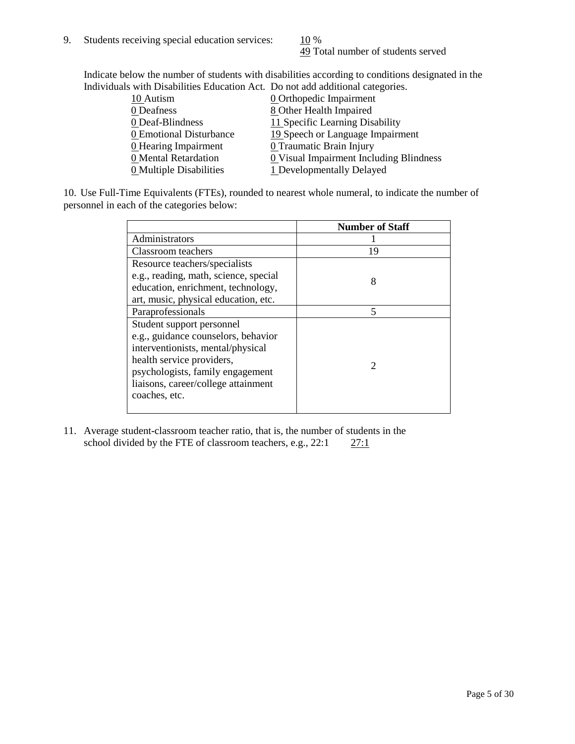49 Total number of students served

Indicate below the number of students with disabilities according to conditions designated in the Individuals with Disabilities Education Act. Do not add additional categories.

| marriaans with Disabilities Laacahon rict. Do not aaa aaanonin categorites. |                                         |
|-----------------------------------------------------------------------------|-----------------------------------------|
| 10 Autism                                                                   | <b>0</b> Orthopedic Impairment          |
| 0 Deafness                                                                  | 8 Other Health Impaired                 |
| 0 Deaf-Blindness                                                            | 11 Specific Learning Disability         |
| 0 Emotional Disturbance                                                     | 19 Speech or Language Impairment        |
| 0 Hearing Impairment                                                        | 0 Traumatic Brain Injury                |
| 0 Mental Retardation                                                        | 0 Visual Impairment Including Blindness |
| 0 Multiple Disabilities                                                     | 1 Developmentally Delayed               |
|                                                                             |                                         |

10. Use Full-Time Equivalents (FTEs), rounded to nearest whole numeral, to indicate the number of personnel in each of the categories below:

|                                       | <b>Number of Staff</b>      |
|---------------------------------------|-----------------------------|
| Administrators                        |                             |
| Classroom teachers                    | 19                          |
| Resource teachers/specialists         |                             |
| e.g., reading, math, science, special | 8                           |
| education, enrichment, technology,    |                             |
| art, music, physical education, etc.  |                             |
| Paraprofessionals                     | 5                           |
| Student support personnel             |                             |
| e.g., guidance counselors, behavior   |                             |
| interventionists, mental/physical     |                             |
| health service providers,             | $\mathcal{D}_{\mathcal{A}}$ |
| psychologists, family engagement      |                             |
| liaisons, career/college attainment   |                             |
| coaches, etc.                         |                             |
|                                       |                             |

11. Average student-classroom teacher ratio, that is, the number of students in the school divided by the FTE of classroom teachers, e.g.,  $22:1$   $27:1$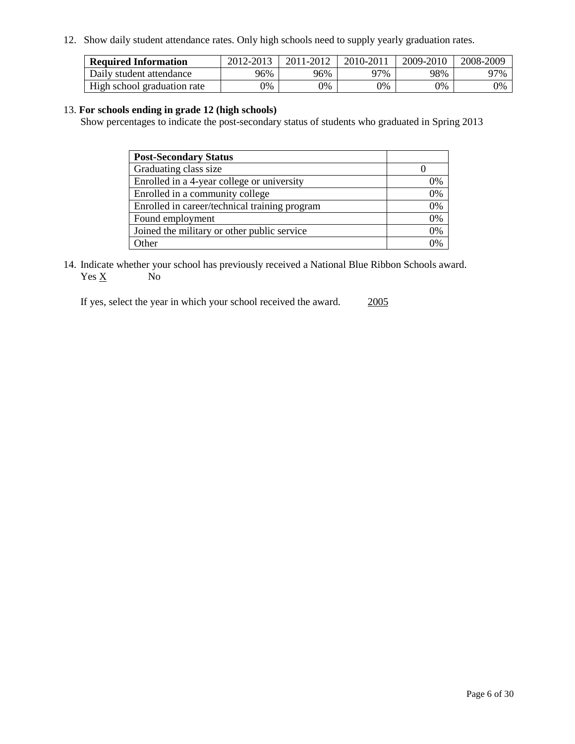12. Show daily student attendance rates. Only high schools need to supply yearly graduation rates.

| <b>Required Information</b> | 2012-2013 | 2011-2012 | 2010-2011 | 2009-2010 | 2008-2009 |
|-----------------------------|-----------|-----------|-----------|-----------|-----------|
| Daily student attendance    | 96%       | 96%       | า7%       | 98%       | 97%       |
| High school graduation rate | 9%        | 0%        | 0%        | 0%        | 0%        |

#### 13. **For schools ending in grade 12 (high schools)**

Show percentages to indicate the post-secondary status of students who graduated in Spring 2013

| <b>Post-Secondary Status</b>                  |              |
|-----------------------------------------------|--------------|
| Graduating class size                         |              |
| Enrolled in a 4-year college or university    | 0%           |
| Enrolled in a community college               | 0%           |
| Enrolled in career/technical training program | 0%           |
| Found employment                              | 0%           |
| Joined the military or other public service   | 0%           |
| .)ther                                        | $\gamma_{0}$ |

14. Indicate whether your school has previously received a National Blue Ribbon Schools award.  $Yes \underline{X}$  No

If yes, select the year in which your school received the award. 2005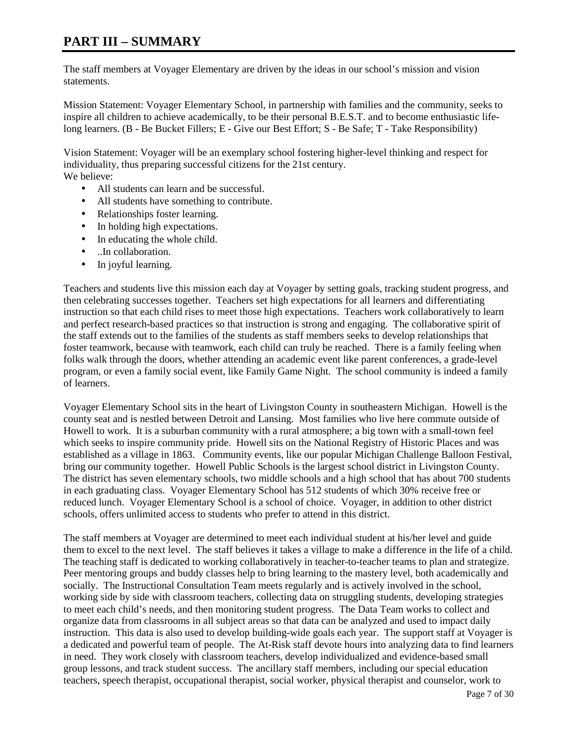## **PART III – SUMMARY**

The staff members at Voyager Elementary are driven by the ideas in our school's mission and vision statements.

Mission Statement: Voyager Elementary School, in partnership with families and the community, seeks to inspire all children to achieve academically, to be their personal B.E.S.T. and to become enthusiastic lifelong learners. (B - Be Bucket Fillers; E - Give our Best Effort; S - Be Safe; T - Take Responsibility)

Vision Statement: Voyager will be an exemplary school fostering higher-level thinking and respect for individuality, thus preparing successful citizens for the 21st century. We believe:

- All students can learn and be successful.
- All students have something to contribute.
- Relationships foster learning.
- In holding high expectations.
- In educating the whole child.
- ..In collaboration.
- In joyful learning.

Teachers and students live this mission each day at Voyager by setting goals, tracking student progress, and then celebrating successes together. Teachers set high expectations for all learners and differentiating instruction so that each child rises to meet those high expectations. Teachers work collaboratively to learn and perfect research-based practices so that instruction is strong and engaging. The collaborative spirit of the staff extends out to the families of the students as staff members seeks to develop relationships that foster teamwork, because with teamwork, each child can truly be reached. There is a family feeling when folks walk through the doors, whether attending an academic event like parent conferences, a grade-level program, or even a family social event, like Family Game Night. The school community is indeed a family of learners.

Voyager Elementary School sits in the heart of Livingston County in southeastern Michigan. Howell is the county seat and is nestled between Detroit and Lansing. Most families who live here commute outside of Howell to work. It is a suburban community with a rural atmosphere; a big town with a small-town feel which seeks to inspire community pride. Howell sits on the National Registry of Historic Places and was established as a village in 1863. Community events, like our popular Michigan Challenge Balloon Festival, bring our community together. Howell Public Schools is the largest school district in Livingston County. The district has seven elementary schools, two middle schools and a high school that has about 700 students in each graduating class. Voyager Elementary School has 512 students of which 30% receive free or reduced lunch. Voyager Elementary School is a school of choice. Voyager, in addition to other district schools, offers unlimited access to students who prefer to attend in this district.

The staff members at Voyager are determined to meet each individual student at his/her level and guide them to excel to the next level. The staff believes it takes a village to make a difference in the life of a child. The teaching staff is dedicated to working collaboratively in teacher-to-teacher teams to plan and strategize. Peer mentoring groups and buddy classes help to bring learning to the mastery level, both academically and socially. The Instructional Consultation Team meets regularly and is actively involved in the school, working side by side with classroom teachers, collecting data on struggling students, developing strategies to meet each child's needs, and then monitoring student progress. The Data Team works to collect and organize data from classrooms in all subject areas so that data can be analyzed and used to impact daily instruction. This data is also used to develop building-wide goals each year. The support staff at Voyager is a dedicated and powerful team of people. The At-Risk staff devote hours into analyzing data to find learners in need. They work closely with classroom teachers, develop individualized and evidence-based small group lessons, and track student success. The ancillary staff members, including our special education teachers, speech therapist, occupational therapist, social worker, physical therapist and counselor, work to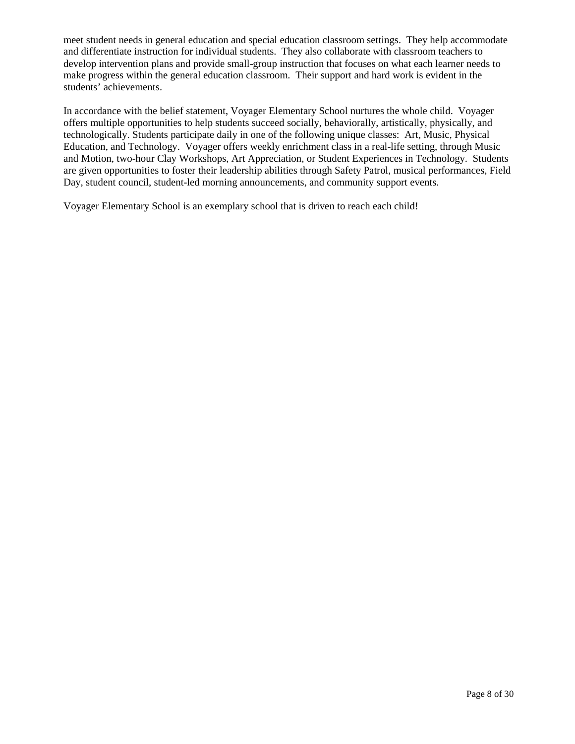meet student needs in general education and special education classroom settings. They help accommodate and differentiate instruction for individual students. They also collaborate with classroom teachers to develop intervention plans and provide small-group instruction that focuses on what each learner needs to make progress within the general education classroom. Their support and hard work is evident in the students' achievements.

In accordance with the belief statement, Voyager Elementary School nurtures the whole child. Voyager offers multiple opportunities to help students succeed socially, behaviorally, artistically, physically, and technologically. Students participate daily in one of the following unique classes: Art, Music, Physical Education, and Technology. Voyager offers weekly enrichment class in a real-life setting, through Music and Motion, two-hour Clay Workshops, Art Appreciation, or Student Experiences in Technology. Students are given opportunities to foster their leadership abilities through Safety Patrol, musical performances, Field Day, student council, student-led morning announcements, and community support events.

Voyager Elementary School is an exemplary school that is driven to reach each child!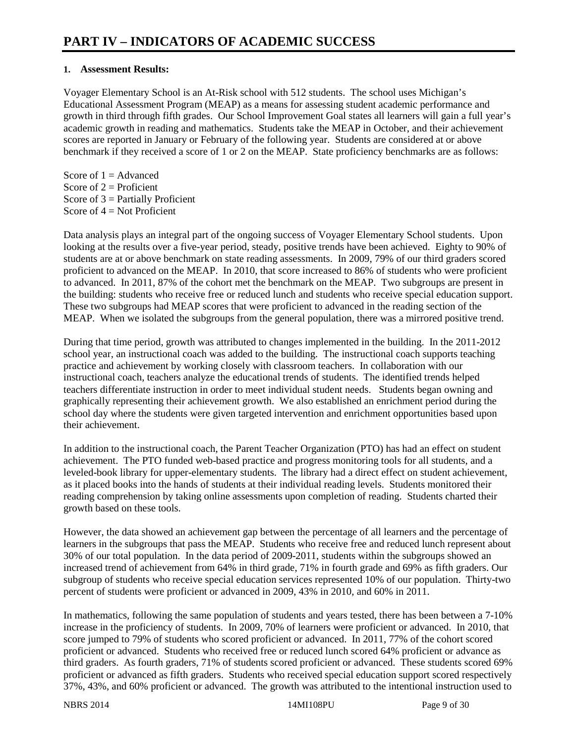### **1. Assessment Results:**

Voyager Elementary School is an At-Risk school with 512 students. The school uses Michigan's Educational Assessment Program (MEAP) as a means for assessing student academic performance and growth in third through fifth grades. Our School Improvement Goal states all learners will gain a full year's academic growth in reading and mathematics. Students take the MEAP in October, and their achievement scores are reported in January or February of the following year. Students are considered at or above benchmark if they received a score of 1 or 2 on the MEAP. State proficiency benchmarks are as follows:

Score of  $1 =$  Advanced Score of  $2 =$  Proficient Score of  $3$  = Partially Proficient Score of  $4 = Not$  Proficient

Data analysis plays an integral part of the ongoing success of Voyager Elementary School students. Upon looking at the results over a five-year period, steady, positive trends have been achieved. Eighty to 90% of students are at or above benchmark on state reading assessments. In 2009, 79% of our third graders scored proficient to advanced on the MEAP. In 2010, that score increased to 86% of students who were proficient to advanced. In 2011, 87% of the cohort met the benchmark on the MEAP. Two subgroups are present in the building: students who receive free or reduced lunch and students who receive special education support. These two subgroups had MEAP scores that were proficient to advanced in the reading section of the MEAP. When we isolated the subgroups from the general population, there was a mirrored positive trend.

During that time period, growth was attributed to changes implemented in the building. In the 2011-2012 school year, an instructional coach was added to the building. The instructional coach supports teaching practice and achievement by working closely with classroom teachers. In collaboration with our instructional coach, teachers analyze the educational trends of students. The identified trends helped teachers differentiate instruction in order to meet individual student needs. Students began owning and graphically representing their achievement growth. We also established an enrichment period during the school day where the students were given targeted intervention and enrichment opportunities based upon their achievement.

In addition to the instructional coach, the Parent Teacher Organization (PTO) has had an effect on student achievement. The PTO funded web-based practice and progress monitoring tools for all students, and a leveled-book library for upper-elementary students. The library had a direct effect on student achievement, as it placed books into the hands of students at their individual reading levels. Students monitored their reading comprehension by taking online assessments upon completion of reading. Students charted their growth based on these tools.

However, the data showed an achievement gap between the percentage of all learners and the percentage of learners in the subgroups that pass the MEAP. Students who receive free and reduced lunch represent about 30% of our total population. In the data period of 2009-2011, students within the subgroups showed an increased trend of achievement from 64% in third grade, 71% in fourth grade and 69% as fifth graders. Our subgroup of students who receive special education services represented 10% of our population. Thirty-two percent of students were proficient or advanced in 2009, 43% in 2010, and 60% in 2011.

In mathematics, following the same population of students and years tested, there has been between a 7-10% increase in the proficiency of students. In 2009, 70% of learners were proficient or advanced. In 2010, that score jumped to 79% of students who scored proficient or advanced. In 2011, 77% of the cohort scored proficient or advanced. Students who received free or reduced lunch scored 64% proficient or advance as third graders. As fourth graders, 71% of students scored proficient or advanced. These students scored 69% proficient or advanced as fifth graders. Students who received special education support scored respectively 37%, 43%, and 60% proficient or advanced. The growth was attributed to the intentional instruction used to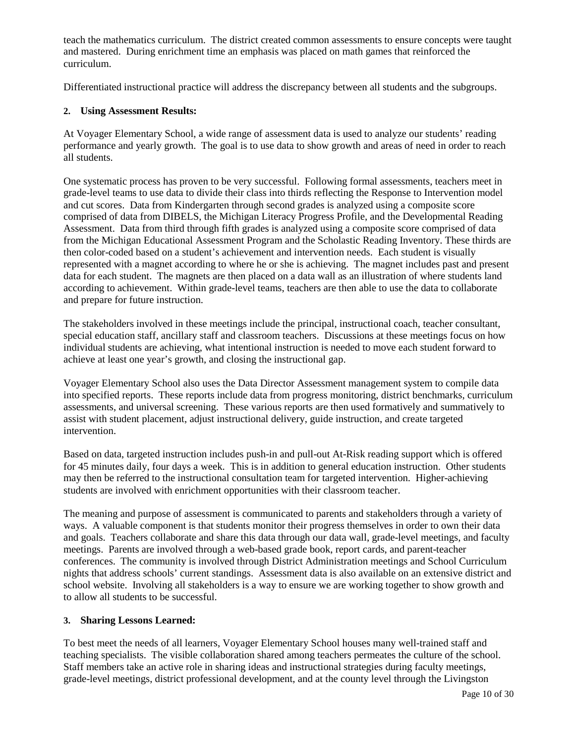teach the mathematics curriculum. The district created common assessments to ensure concepts were taught and mastered. During enrichment time an emphasis was placed on math games that reinforced the curriculum.

Differentiated instructional practice will address the discrepancy between all students and the subgroups.

#### **2. Using Assessment Results:**

At Voyager Elementary School, a wide range of assessment data is used to analyze our students' reading performance and yearly growth. The goal is to use data to show growth and areas of need in order to reach all students.

One systematic process has proven to be very successful. Following formal assessments, teachers meet in grade-level teams to use data to divide their class into thirds reflecting the Response to Intervention model and cut scores. Data from Kindergarten through second grades is analyzed using a composite score comprised of data from DIBELS, the Michigan Literacy Progress Profile, and the Developmental Reading Assessment. Data from third through fifth grades is analyzed using a composite score comprised of data from the Michigan Educational Assessment Program and the Scholastic Reading Inventory. These thirds are then color-coded based on a student's achievement and intervention needs. Each student is visually represented with a magnet according to where he or she is achieving. The magnet includes past and present data for each student. The magnets are then placed on a data wall as an illustration of where students land according to achievement. Within grade-level teams, teachers are then able to use the data to collaborate and prepare for future instruction.

The stakeholders involved in these meetings include the principal, instructional coach, teacher consultant, special education staff, ancillary staff and classroom teachers. Discussions at these meetings focus on how individual students are achieving, what intentional instruction is needed to move each student forward to achieve at least one year's growth, and closing the instructional gap.

Voyager Elementary School also uses the Data Director Assessment management system to compile data into specified reports. These reports include data from progress monitoring, district benchmarks, curriculum assessments, and universal screening. These various reports are then used formatively and summatively to assist with student placement, adjust instructional delivery, guide instruction, and create targeted intervention.

Based on data, targeted instruction includes push-in and pull-out At-Risk reading support which is offered for 45 minutes daily, four days a week. This is in addition to general education instruction. Other students may then be referred to the instructional consultation team for targeted intervention. Higher-achieving students are involved with enrichment opportunities with their classroom teacher.

The meaning and purpose of assessment is communicated to parents and stakeholders through a variety of ways. A valuable component is that students monitor their progress themselves in order to own their data and goals. Teachers collaborate and share this data through our data wall, grade-level meetings, and faculty meetings. Parents are involved through a web-based grade book, report cards, and parent-teacher conferences. The community is involved through District Administration meetings and School Curriculum nights that address schools' current standings. Assessment data is also available on an extensive district and school website. Involving all stakeholders is a way to ensure we are working together to show growth and to allow all students to be successful.

### **3. Sharing Lessons Learned:**

To best meet the needs of all learners, Voyager Elementary School houses many well-trained staff and teaching specialists. The visible collaboration shared among teachers permeates the culture of the school. Staff members take an active role in sharing ideas and instructional strategies during faculty meetings, grade-level meetings, district professional development, and at the county level through the Livingston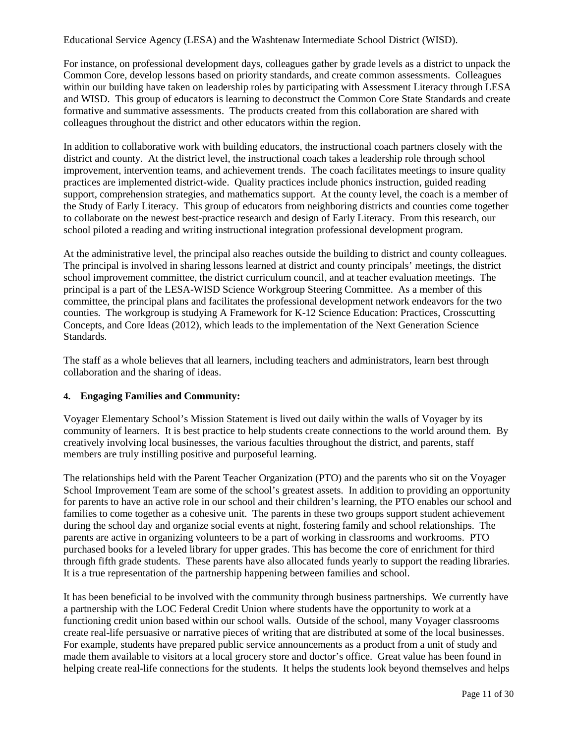Educational Service Agency (LESA) and the Washtenaw Intermediate School District (WISD).

For instance, on professional development days, colleagues gather by grade levels as a district to unpack the Common Core, develop lessons based on priority standards, and create common assessments. Colleagues within our building have taken on leadership roles by participating with Assessment Literacy through LESA and WISD. This group of educators is learning to deconstruct the Common Core State Standards and create formative and summative assessments. The products created from this collaboration are shared with colleagues throughout the district and other educators within the region.

In addition to collaborative work with building educators, the instructional coach partners closely with the district and county. At the district level, the instructional coach takes a leadership role through school improvement, intervention teams, and achievement trends. The coach facilitates meetings to insure quality practices are implemented district-wide. Quality practices include phonics instruction, guided reading support, comprehension strategies, and mathematics support. At the county level, the coach is a member of the Study of Early Literacy. This group of educators from neighboring districts and counties come together to collaborate on the newest best-practice research and design of Early Literacy. From this research, our school piloted a reading and writing instructional integration professional development program.

At the administrative level, the principal also reaches outside the building to district and county colleagues. The principal is involved in sharing lessons learned at district and county principals' meetings, the district school improvement committee, the district curriculum council, and at teacher evaluation meetings. The principal is a part of the LESA-WISD Science Workgroup Steering Committee. As a member of this committee, the principal plans and facilitates the professional development network endeavors for the two counties. The workgroup is studying A Framework for K-12 Science Education: Practices, Crosscutting Concepts, and Core Ideas (2012), which leads to the implementation of the Next Generation Science Standards.

The staff as a whole believes that all learners, including teachers and administrators, learn best through collaboration and the sharing of ideas.

### **4. Engaging Families and Community:**

Voyager Elementary School's Mission Statement is lived out daily within the walls of Voyager by its community of learners. It is best practice to help students create connections to the world around them. By creatively involving local businesses, the various faculties throughout the district, and parents, staff members are truly instilling positive and purposeful learning.

The relationships held with the Parent Teacher Organization (PTO) and the parents who sit on the Voyager School Improvement Team are some of the school's greatest assets. In addition to providing an opportunity for parents to have an active role in our school and their children's learning, the PTO enables our school and families to come together as a cohesive unit. The parents in these two groups support student achievement during the school day and organize social events at night, fostering family and school relationships. The parents are active in organizing volunteers to be a part of working in classrooms and workrooms. PTO purchased books for a leveled library for upper grades. This has become the core of enrichment for third through fifth grade students. These parents have also allocated funds yearly to support the reading libraries. It is a true representation of the partnership happening between families and school.

It has been beneficial to be involved with the community through business partnerships. We currently have a partnership with the LOC Federal Credit Union where students have the opportunity to work at a functioning credit union based within our school walls. Outside of the school, many Voyager classrooms create real-life persuasive or narrative pieces of writing that are distributed at some of the local businesses. For example, students have prepared public service announcements as a product from a unit of study and made them available to visitors at a local grocery store and doctor's office. Great value has been found in helping create real-life connections for the students. It helps the students look beyond themselves and helps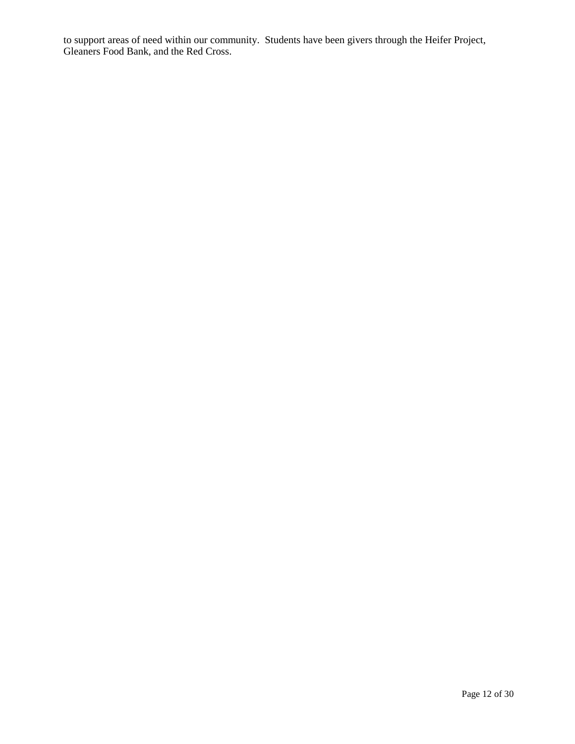to support areas of need within our community. Students have been givers through the Heifer Project, Gleaners Food Bank, and the Red Cross.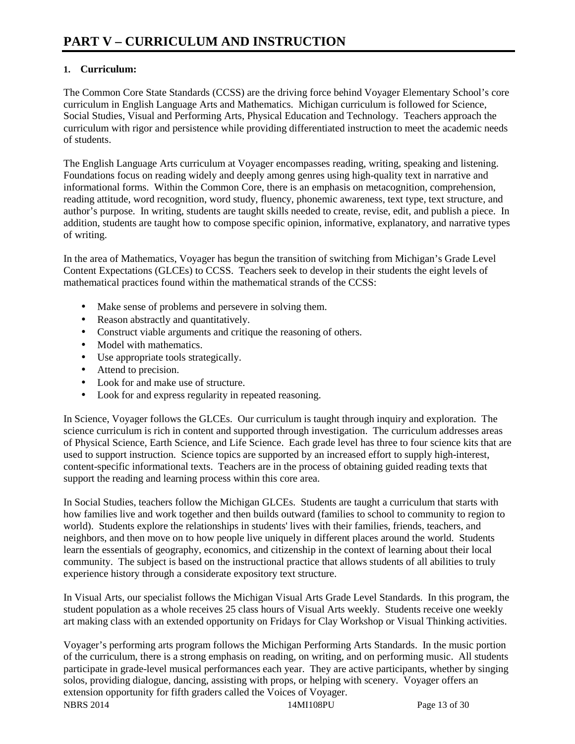### **1. Curriculum:**

The Common Core State Standards (CCSS) are the driving force behind Voyager Elementary School's core curriculum in English Language Arts and Mathematics. Michigan curriculum is followed for Science, Social Studies, Visual and Performing Arts, Physical Education and Technology. Teachers approach the curriculum with rigor and persistence while providing differentiated instruction to meet the academic needs of students.

The English Language Arts curriculum at Voyager encompasses reading, writing, speaking and listening. Foundations focus on reading widely and deeply among genres using high-quality text in narrative and informational forms. Within the Common Core, there is an emphasis on metacognition, comprehension, reading attitude, word recognition, word study, fluency, phonemic awareness, text type, text structure, and author's purpose. In writing, students are taught skills needed to create, revise, edit, and publish a piece. In addition, students are taught how to compose specific opinion, informative, explanatory, and narrative types of writing.

In the area of Mathematics, Voyager has begun the transition of switching from Michigan's Grade Level Content Expectations (GLCEs) to CCSS. Teachers seek to develop in their students the eight levels of mathematical practices found within the mathematical strands of the CCSS:

- Make sense of problems and persevere in solving them.
- Reason abstractly and quantitatively.
- Construct viable arguments and critique the reasoning of others.
- Model with mathematics.
- Use appropriate tools strategically.
- Attend to precision.
- Look for and make use of structure.
- Look for and express regularity in repeated reasoning.

In Science, Voyager follows the GLCEs. Our curriculum is taught through inquiry and exploration. The science curriculum is rich in content and supported through investigation. The curriculum addresses areas of Physical Science, Earth Science, and Life Science. Each grade level has three to four science kits that are used to support instruction. Science topics are supported by an increased effort to supply high-interest, content-specific informational texts. Teachers are in the process of obtaining guided reading texts that support the reading and learning process within this core area.

In Social Studies, teachers follow the Michigan GLCEs. Students are taught a curriculum that starts with how families live and work together and then builds outward (families to school to community to region to world). Students explore the relationships in students' lives with their families, friends, teachers, and neighbors, and then move on to how people live uniquely in different places around the world. Students learn the essentials of geography, economics, and citizenship in the context of learning about their local community. The subject is based on the instructional practice that allows students of all abilities to truly experience history through a considerate expository text structure.

In Visual Arts, our specialist follows the Michigan Visual Arts Grade Level Standards. In this program, the student population as a whole receives 25 class hours of Visual Arts weekly. Students receive one weekly art making class with an extended opportunity on Fridays for Clay Workshop or Visual Thinking activities.

NBRS 2014 2001 14MI108PU Page 13 of 30 Voyager's performing arts program follows the Michigan Performing Arts Standards. In the music portion of the curriculum, there is a strong emphasis on reading, on writing, and on performing music. All students participate in grade-level musical performances each year. They are active participants, whether by singing solos, providing dialogue, dancing, assisting with props, or helping with scenery. Voyager offers an extension opportunity for fifth graders called the Voices of Voyager.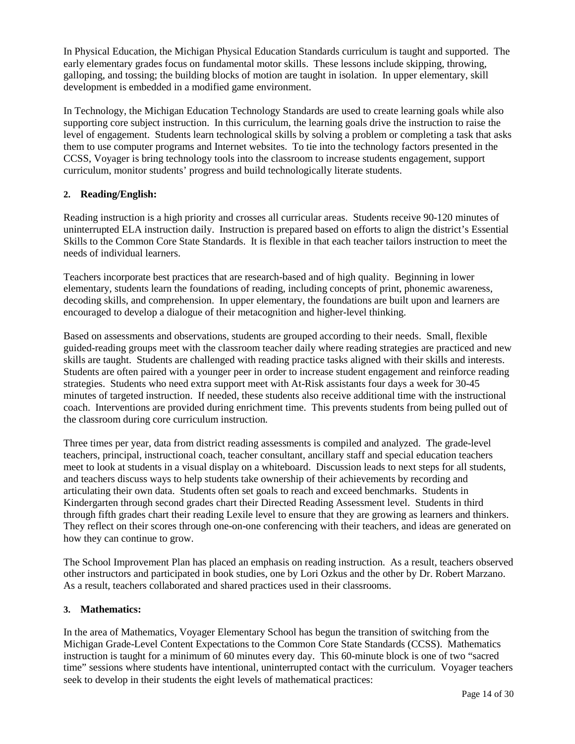In Physical Education, the Michigan Physical Education Standards curriculum is taught and supported. The early elementary grades focus on fundamental motor skills. These lessons include skipping, throwing, galloping, and tossing; the building blocks of motion are taught in isolation. In upper elementary, skill development is embedded in a modified game environment.

In Technology, the Michigan Education Technology Standards are used to create learning goals while also supporting core subject instruction. In this curriculum, the learning goals drive the instruction to raise the level of engagement. Students learn technological skills by solving a problem or completing a task that asks them to use computer programs and Internet websites. To tie into the technology factors presented in the CCSS, Voyager is bring technology tools into the classroom to increase students engagement, support curriculum, monitor students' progress and build technologically literate students.

#### **2. Reading/English:**

Reading instruction is a high priority and crosses all curricular areas. Students receive 90-120 minutes of uninterrupted ELA instruction daily. Instruction is prepared based on efforts to align the district's Essential Skills to the Common Core State Standards. It is flexible in that each teacher tailors instruction to meet the needs of individual learners.

Teachers incorporate best practices that are research-based and of high quality. Beginning in lower elementary, students learn the foundations of reading, including concepts of print, phonemic awareness, decoding skills, and comprehension. In upper elementary, the foundations are built upon and learners are encouraged to develop a dialogue of their metacognition and higher-level thinking.

Based on assessments and observations, students are grouped according to their needs. Small, flexible guided-reading groups meet with the classroom teacher daily where reading strategies are practiced and new skills are taught. Students are challenged with reading practice tasks aligned with their skills and interests. Students are often paired with a younger peer in order to increase student engagement and reinforce reading strategies. Students who need extra support meet with At-Risk assistants four days a week for 30-45 minutes of targeted instruction. If needed, these students also receive additional time with the instructional coach. Interventions are provided during enrichment time. This prevents students from being pulled out of the classroom during core curriculum instruction.

Three times per year, data from district reading assessments is compiled and analyzed. The grade-level teachers, principal, instructional coach, teacher consultant, ancillary staff and special education teachers meet to look at students in a visual display on a whiteboard. Discussion leads to next steps for all students, and teachers discuss ways to help students take ownership of their achievements by recording and articulating their own data. Students often set goals to reach and exceed benchmarks. Students in Kindergarten through second grades chart their Directed Reading Assessment level. Students in third through fifth grades chart their reading Lexile level to ensure that they are growing as learners and thinkers. They reflect on their scores through one-on-one conferencing with their teachers, and ideas are generated on how they can continue to grow.

The School Improvement Plan has placed an emphasis on reading instruction. As a result, teachers observed other instructors and participated in book studies, one by Lori Ozkus and the other by Dr. Robert Marzano. As a result, teachers collaborated and shared practices used in their classrooms.

#### **3. Mathematics:**

In the area of Mathematics, Voyager Elementary School has begun the transition of switching from the Michigan Grade-Level Content Expectations to the Common Core State Standards (CCSS). Mathematics instruction is taught for a minimum of 60 minutes every day. This 60-minute block is one of two "sacred time" sessions where students have intentional, uninterrupted contact with the curriculum. Voyager teachers seek to develop in their students the eight levels of mathematical practices: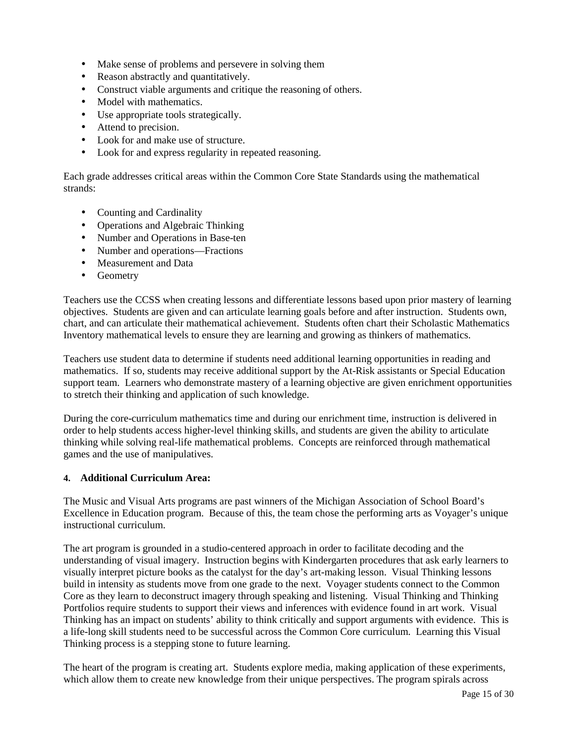- Make sense of problems and persevere in solving them
- Reason abstractly and quantitatively.
- Construct viable arguments and critique the reasoning of others.
- Model with mathematics.
- Use appropriate tools strategically.
- Attend to precision.
- Look for and make use of structure.
- Look for and express regularity in repeated reasoning.

Each grade addresses critical areas within the Common Core State Standards using the mathematical strands:

- Counting and Cardinality
- Operations and Algebraic Thinking
- Number and Operations in Base-ten
- Number and operations—Fractions
- Measurement and Data
- Geometry

Teachers use the CCSS when creating lessons and differentiate lessons based upon prior mastery of learning objectives. Students are given and can articulate learning goals before and after instruction. Students own, chart, and can articulate their mathematical achievement. Students often chart their Scholastic Mathematics Inventory mathematical levels to ensure they are learning and growing as thinkers of mathematics.

Teachers use student data to determine if students need additional learning opportunities in reading and mathematics. If so, students may receive additional support by the At-Risk assistants or Special Education support team. Learners who demonstrate mastery of a learning objective are given enrichment opportunities to stretch their thinking and application of such knowledge.

During the core-curriculum mathematics time and during our enrichment time, instruction is delivered in order to help students access higher-level thinking skills, and students are given the ability to articulate thinking while solving real-life mathematical problems. Concepts are reinforced through mathematical games and the use of manipulatives.

#### **4. Additional Curriculum Area:**

The Music and Visual Arts programs are past winners of the Michigan Association of School Board's Excellence in Education program. Because of this, the team chose the performing arts as Voyager's unique instructional curriculum.

The art program is grounded in a studio-centered approach in order to facilitate decoding and the understanding of visual imagery. Instruction begins with Kindergarten procedures that ask early learners to visually interpret picture books as the catalyst for the day's art-making lesson. Visual Thinking lessons build in intensity as students move from one grade to the next. Voyager students connect to the Common Core as they learn to deconstruct imagery through speaking and listening. Visual Thinking and Thinking Portfolios require students to support their views and inferences with evidence found in art work. Visual Thinking has an impact on students' ability to think critically and support arguments with evidence. This is a life-long skill students need to be successful across the Common Core curriculum. Learning this Visual Thinking process is a stepping stone to future learning.

The heart of the program is creating art. Students explore media, making application of these experiments, which allow them to create new knowledge from their unique perspectives. The program spirals across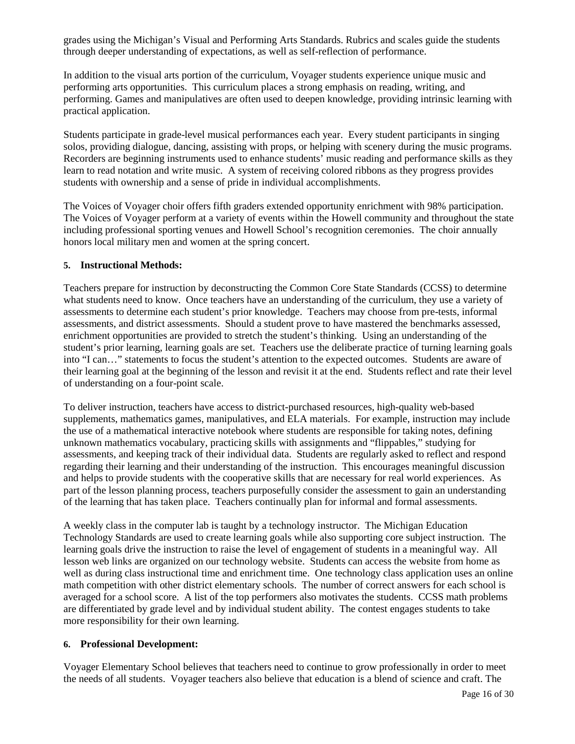grades using the Michigan's Visual and Performing Arts Standards. Rubrics and scales guide the students through deeper understanding of expectations, as well as self-reflection of performance.

In addition to the visual arts portion of the curriculum, Voyager students experience unique music and performing arts opportunities. This curriculum places a strong emphasis on reading, writing, and performing. Games and manipulatives are often used to deepen knowledge, providing intrinsic learning with practical application.

Students participate in grade-level musical performances each year. Every student participants in singing solos, providing dialogue, dancing, assisting with props, or helping with scenery during the music programs. Recorders are beginning instruments used to enhance students' music reading and performance skills as they learn to read notation and write music. A system of receiving colored ribbons as they progress provides students with ownership and a sense of pride in individual accomplishments.

The Voices of Voyager choir offers fifth graders extended opportunity enrichment with 98% participation. The Voices of Voyager perform at a variety of events within the Howell community and throughout the state including professional sporting venues and Howell School's recognition ceremonies. The choir annually honors local military men and women at the spring concert.

#### **5. Instructional Methods:**

Teachers prepare for instruction by deconstructing the Common Core State Standards (CCSS) to determine what students need to know. Once teachers have an understanding of the curriculum, they use a variety of assessments to determine each student's prior knowledge. Teachers may choose from pre-tests, informal assessments, and district assessments. Should a student prove to have mastered the benchmarks assessed, enrichment opportunities are provided to stretch the student's thinking. Using an understanding of the student's prior learning, learning goals are set. Teachers use the deliberate practice of turning learning goals into "I can…" statements to focus the student's attention to the expected outcomes. Students are aware of their learning goal at the beginning of the lesson and revisit it at the end. Students reflect and rate their level of understanding on a four-point scale.

To deliver instruction, teachers have access to district-purchased resources, high-quality web-based supplements, mathematics games, manipulatives, and ELA materials. For example, instruction may include the use of a mathematical interactive notebook where students are responsible for taking notes, defining unknown mathematics vocabulary, practicing skills with assignments and "flippables," studying for assessments, and keeping track of their individual data. Students are regularly asked to reflect and respond regarding their learning and their understanding of the instruction. This encourages meaningful discussion and helps to provide students with the cooperative skills that are necessary for real world experiences. As part of the lesson planning process, teachers purposefully consider the assessment to gain an understanding of the learning that has taken place. Teachers continually plan for informal and formal assessments.

A weekly class in the computer lab is taught by a technology instructor. The Michigan Education Technology Standards are used to create learning goals while also supporting core subject instruction. The learning goals drive the instruction to raise the level of engagement of students in a meaningful way. All lesson web links are organized on our technology website. Students can access the website from home as well as during class instructional time and enrichment time. One technology class application uses an online math competition with other district elementary schools. The number of correct answers for each school is averaged for a school score. A list of the top performers also motivates the students. CCSS math problems are differentiated by grade level and by individual student ability. The contest engages students to take more responsibility for their own learning.

#### **6. Professional Development:**

Voyager Elementary School believes that teachers need to continue to grow professionally in order to meet the needs of all students. Voyager teachers also believe that education is a blend of science and craft. The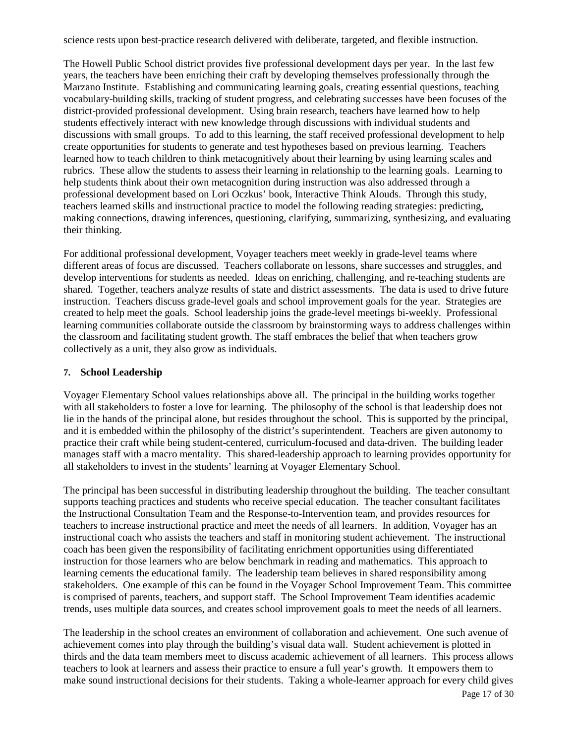science rests upon best-practice research delivered with deliberate, targeted, and flexible instruction.

The Howell Public School district provides five professional development days per year. In the last few years, the teachers have been enriching their craft by developing themselves professionally through the Marzano Institute. Establishing and communicating learning goals, creating essential questions, teaching vocabulary-building skills, tracking of student progress, and celebrating successes have been focuses of the district-provided professional development. Using brain research, teachers have learned how to help students effectively interact with new knowledge through discussions with individual students and discussions with small groups. To add to this learning, the staff received professional development to help create opportunities for students to generate and test hypotheses based on previous learning. Teachers learned how to teach children to think metacognitively about their learning by using learning scales and rubrics. These allow the students to assess their learning in relationship to the learning goals. Learning to help students think about their own metacognition during instruction was also addressed through a professional development based on Lori Oczkus' book, Interactive Think Alouds. Through this study, teachers learned skills and instructional practice to model the following reading strategies: predicting, making connections, drawing inferences, questioning, clarifying, summarizing, synthesizing, and evaluating their thinking.

For additional professional development, Voyager teachers meet weekly in grade-level teams where different areas of focus are discussed. Teachers collaborate on lessons, share successes and struggles, and develop interventions for students as needed. Ideas on enriching, challenging, and re-teaching students are shared. Together, teachers analyze results of state and district assessments. The data is used to drive future instruction. Teachers discuss grade-level goals and school improvement goals for the year. Strategies are created to help meet the goals. School leadership joins the grade-level meetings bi-weekly. Professional learning communities collaborate outside the classroom by brainstorming ways to address challenges within the classroom and facilitating student growth. The staff embraces the belief that when teachers grow collectively as a unit, they also grow as individuals.

#### **7. School Leadership**

Voyager Elementary School values relationships above all. The principal in the building works together with all stakeholders to foster a love for learning. The philosophy of the school is that leadership does not lie in the hands of the principal alone, but resides throughout the school. This is supported by the principal, and it is embedded within the philosophy of the district's superintendent. Teachers are given autonomy to practice their craft while being student-centered, curriculum-focused and data-driven. The building leader manages staff with a macro mentality. This shared-leadership approach to learning provides opportunity for all stakeholders to invest in the students' learning at Voyager Elementary School.

The principal has been successful in distributing leadership throughout the building. The teacher consultant supports teaching practices and students who receive special education. The teacher consultant facilitates the Instructional Consultation Team and the Response-to-Intervention team, and provides resources for teachers to increase instructional practice and meet the needs of all learners. In addition, Voyager has an instructional coach who assists the teachers and staff in monitoring student achievement. The instructional coach has been given the responsibility of facilitating enrichment opportunities using differentiated instruction for those learners who are below benchmark in reading and mathematics. This approach to learning cements the educational family. The leadership team believes in shared responsibility among stakeholders. One example of this can be found in the Voyager School Improvement Team. This committee is comprised of parents, teachers, and support staff. The School Improvement Team identifies academic trends, uses multiple data sources, and creates school improvement goals to meet the needs of all learners.

The leadership in the school creates an environment of collaboration and achievement. One such avenue of achievement comes into play through the building's visual data wall. Student achievement is plotted in thirds and the data team members meet to discuss academic achievement of all learners. This process allows teachers to look at learners and assess their practice to ensure a full year's growth. It empowers them to make sound instructional decisions for their students. Taking a whole-learner approach for every child gives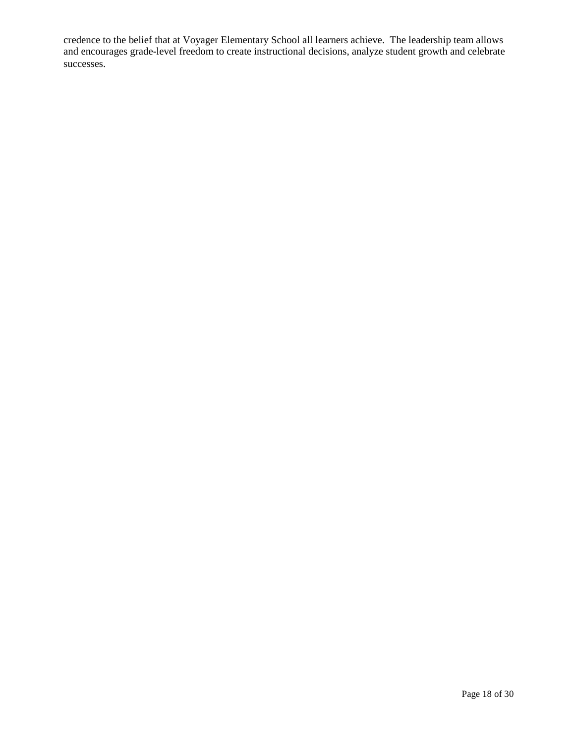credence to the belief that at Voyager Elementary School all learners achieve. The leadership team allows and encourages grade-level freedom to create instructional decisions, analyze student growth and celebrate successes.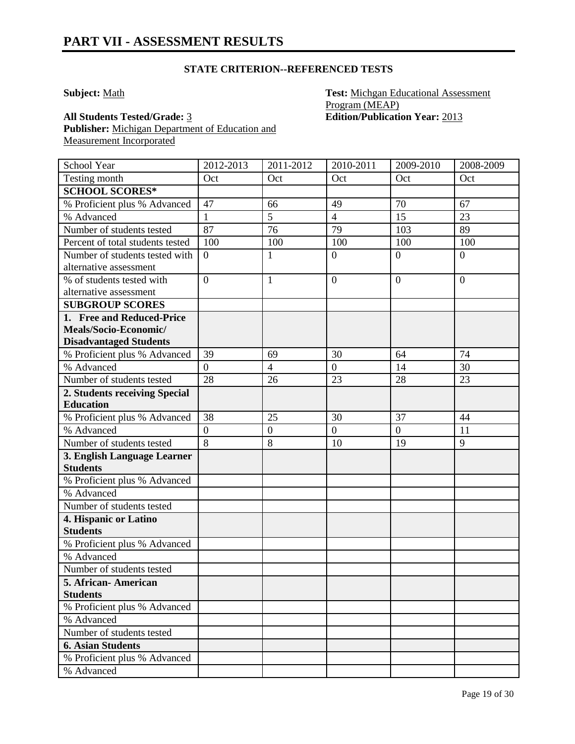**Subject:** Math **Test:** Michgan Educational Assessment Program (MEAP) **All Students Tested/Grade:** 3 **Edition/Publication Year:** 2013

**Publisher:** Michigan Department of Education and Measurement Incorporated

| School Year                                    | 2012-2013        | 2011-2012        | 2010-2011      | 2009-2010      | 2008-2009        |
|------------------------------------------------|------------------|------------------|----------------|----------------|------------------|
| Testing month                                  | Oct              | Oct              | Oct            | Oct            | Oct              |
| <b>SCHOOL SCORES*</b>                          |                  |                  |                |                |                  |
| % Proficient plus % Advanced                   | 47               | 66               | 49             | 70             | 67               |
| % Advanced                                     | $\mathbf{1}$     | 5                | $\overline{4}$ | 15             | 23               |
| Number of students tested                      | 87               | 76               | 79             | 103            | 89               |
| Percent of total students tested               | 100              | 100              | 100            | 100            | 100              |
| Number of students tested with                 | $\overline{0}$   | $\mathbf{1}$     | $\overline{0}$ | $\overline{0}$ | $\boldsymbol{0}$ |
| alternative assessment                         |                  |                  |                |                |                  |
| % of students tested with                      | $\overline{0}$   | $\mathbf{1}$     | $\overline{0}$ | $\overline{0}$ | $\overline{0}$   |
| alternative assessment                         |                  |                  |                |                |                  |
| <b>SUBGROUP SCORES</b>                         |                  |                  |                |                |                  |
| 1. Free and Reduced-Price                      |                  |                  |                |                |                  |
| Meals/Socio-Economic/                          |                  |                  |                |                |                  |
| <b>Disadvantaged Students</b>                  |                  |                  |                |                |                  |
| % Proficient plus % Advanced                   | 39               | 69               | 30             | 64             | 74               |
| % Advanced                                     | $\overline{0}$   | $\overline{4}$   | $\overline{0}$ | 14             | 30               |
| Number of students tested                      | 28               | 26               | 23             | 28             | 23               |
| 2. Students receiving Special                  |                  |                  |                |                |                  |
| <b>Education</b>                               |                  |                  |                |                |                  |
| % Proficient plus % Advanced                   | 38               | 25               | 30             | 37             | 44               |
| % Advanced                                     | $\boldsymbol{0}$ | $\boldsymbol{0}$ | $\overline{0}$ | $\overline{0}$ | 11               |
| Number of students tested                      | $\overline{8}$   | 8                | 10             | 19             | 9                |
| 3. English Language Learner<br><b>Students</b> |                  |                  |                |                |                  |
| % Proficient plus % Advanced                   |                  |                  |                |                |                  |
| % Advanced                                     |                  |                  |                |                |                  |
| Number of students tested                      |                  |                  |                |                |                  |
| 4. Hispanic or Latino                          |                  |                  |                |                |                  |
| <b>Students</b>                                |                  |                  |                |                |                  |
| % Proficient plus % Advanced                   |                  |                  |                |                |                  |
| % Advanced                                     |                  |                  |                |                |                  |
| Number of students tested                      |                  |                  |                |                |                  |
| 5. African- American                           |                  |                  |                |                |                  |
| <b>Students</b>                                |                  |                  |                |                |                  |
| % Proficient plus % Advanced                   |                  |                  |                |                |                  |
| % Advanced                                     |                  |                  |                |                |                  |
| Number of students tested                      |                  |                  |                |                |                  |
| <b>6. Asian Students</b>                       |                  |                  |                |                |                  |
| % Proficient plus % Advanced                   |                  |                  |                |                |                  |
| % Advanced                                     |                  |                  |                |                |                  |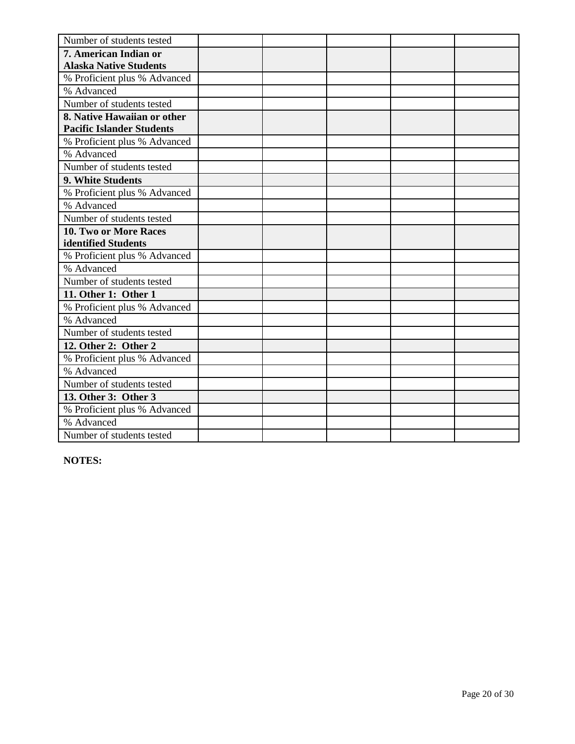| Number of students tested        |  |  |  |
|----------------------------------|--|--|--|
| 7. American Indian or            |  |  |  |
| <b>Alaska Native Students</b>    |  |  |  |
| % Proficient plus % Advanced     |  |  |  |
| % Advanced                       |  |  |  |
| Number of students tested        |  |  |  |
| 8. Native Hawaiian or other      |  |  |  |
| <b>Pacific Islander Students</b> |  |  |  |
| % Proficient plus % Advanced     |  |  |  |
| % Advanced                       |  |  |  |
| Number of students tested        |  |  |  |
| 9. White Students                |  |  |  |
| % Proficient plus % Advanced     |  |  |  |
| % Advanced                       |  |  |  |
| Number of students tested        |  |  |  |
| 10. Two or More Races            |  |  |  |
| identified Students              |  |  |  |
| % Proficient plus % Advanced     |  |  |  |
| % Advanced                       |  |  |  |
| Number of students tested        |  |  |  |
| 11. Other 1: Other 1             |  |  |  |
| % Proficient plus % Advanced     |  |  |  |
| % Advanced                       |  |  |  |
| Number of students tested        |  |  |  |
| 12. Other 2: Other 2             |  |  |  |
| % Proficient plus % Advanced     |  |  |  |
| % Advanced                       |  |  |  |
| Number of students tested        |  |  |  |
| 13. Other 3: Other 3             |  |  |  |
| % Proficient plus % Advanced     |  |  |  |
| % Advanced                       |  |  |  |
| Number of students tested        |  |  |  |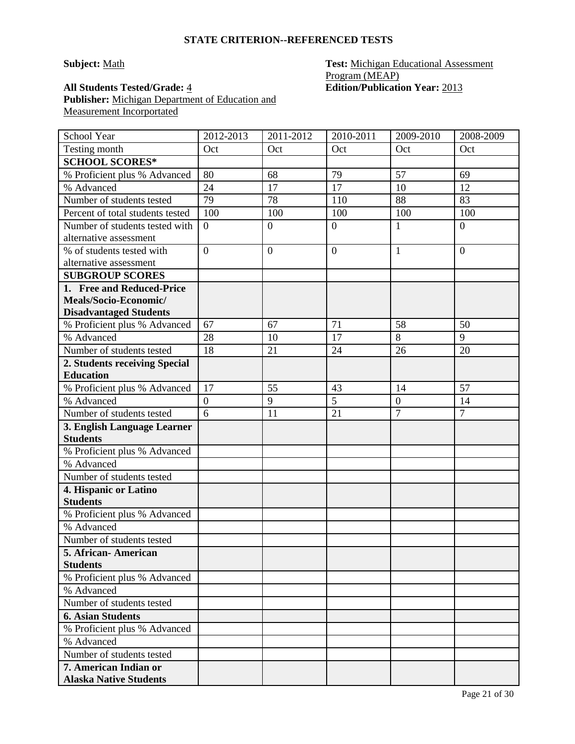# **Subject:** Math **Test:** Michigan Educational Assessment Program (MEAP)

**All Students Tested/Grade:** 4 **Edition/Publication Year:** 2013 **Publisher:** Michigan Department of Education and Measurement Incorportated

| Testing month<br>Oct<br>Oct<br>Oct<br>Oct<br>Oct<br><b>SCHOOL SCORES*</b><br>80<br>79<br>57<br>% Proficient plus % Advanced<br>68<br>69<br>17<br>12<br>% Advanced<br>24<br>17<br>10<br>79<br>88<br>Number of students tested<br>78<br>110<br>83<br>Percent of total students tested<br>100<br>100<br>100<br>100<br>100<br>Number of students tested with<br>$\overline{0}$<br>$\overline{0}$<br>$\boldsymbol{0}$<br>$\overline{0}$<br>1<br>alternative assessment<br>% of students tested with<br>$\overline{0}$<br>$\overline{0}$<br>$\overline{0}$<br>$\mathbf{1}$<br>$\overline{0}$<br>alternative assessment<br><b>SUBGROUP SCORES</b><br>1. Free and Reduced-Price<br>Meals/Socio-Economic/<br><b>Disadvantaged Students</b><br>% Proficient plus % Advanced<br>67<br>71<br>58<br>67<br>50<br>17<br>8<br>9<br>% Advanced<br>28<br>10<br>Number of students tested<br>18<br>24<br>20<br>21<br>26<br>2. Students receiving Special<br><b>Education</b><br>57<br>17<br>55<br>43<br>% Proficient plus % Advanced<br>14<br>5<br>% Advanced<br>$\boldsymbol{0}$<br>9<br>$\boldsymbol{0}$<br>14<br>6<br>$\overline{7}$<br>21<br>$\overline{7}$<br>Number of students tested<br>11<br>3. English Language Learner<br><b>Students</b><br>% Proficient plus % Advanced<br>% Advanced<br>Number of students tested<br>4. Hispanic or Latino<br><b>Students</b><br>% Proficient plus % Advanced | School Year | 2012-2013 | $2011 - 2012$ | 2010-2011 | 2009-2010 | 2008-2009 |
|------------------------------------------------------------------------------------------------------------------------------------------------------------------------------------------------------------------------------------------------------------------------------------------------------------------------------------------------------------------------------------------------------------------------------------------------------------------------------------------------------------------------------------------------------------------------------------------------------------------------------------------------------------------------------------------------------------------------------------------------------------------------------------------------------------------------------------------------------------------------------------------------------------------------------------------------------------------------------------------------------------------------------------------------------------------------------------------------------------------------------------------------------------------------------------------------------------------------------------------------------------------------------------------------------------------------------------------------------------------------------------------|-------------|-----------|---------------|-----------|-----------|-----------|
|                                                                                                                                                                                                                                                                                                                                                                                                                                                                                                                                                                                                                                                                                                                                                                                                                                                                                                                                                                                                                                                                                                                                                                                                                                                                                                                                                                                          |             |           |               |           |           |           |
|                                                                                                                                                                                                                                                                                                                                                                                                                                                                                                                                                                                                                                                                                                                                                                                                                                                                                                                                                                                                                                                                                                                                                                                                                                                                                                                                                                                          |             |           |               |           |           |           |
|                                                                                                                                                                                                                                                                                                                                                                                                                                                                                                                                                                                                                                                                                                                                                                                                                                                                                                                                                                                                                                                                                                                                                                                                                                                                                                                                                                                          |             |           |               |           |           |           |
|                                                                                                                                                                                                                                                                                                                                                                                                                                                                                                                                                                                                                                                                                                                                                                                                                                                                                                                                                                                                                                                                                                                                                                                                                                                                                                                                                                                          |             |           |               |           |           |           |
|                                                                                                                                                                                                                                                                                                                                                                                                                                                                                                                                                                                                                                                                                                                                                                                                                                                                                                                                                                                                                                                                                                                                                                                                                                                                                                                                                                                          |             |           |               |           |           |           |
|                                                                                                                                                                                                                                                                                                                                                                                                                                                                                                                                                                                                                                                                                                                                                                                                                                                                                                                                                                                                                                                                                                                                                                                                                                                                                                                                                                                          |             |           |               |           |           |           |
|                                                                                                                                                                                                                                                                                                                                                                                                                                                                                                                                                                                                                                                                                                                                                                                                                                                                                                                                                                                                                                                                                                                                                                                                                                                                                                                                                                                          |             |           |               |           |           |           |
|                                                                                                                                                                                                                                                                                                                                                                                                                                                                                                                                                                                                                                                                                                                                                                                                                                                                                                                                                                                                                                                                                                                                                                                                                                                                                                                                                                                          |             |           |               |           |           |           |
|                                                                                                                                                                                                                                                                                                                                                                                                                                                                                                                                                                                                                                                                                                                                                                                                                                                                                                                                                                                                                                                                                                                                                                                                                                                                                                                                                                                          |             |           |               |           |           |           |
|                                                                                                                                                                                                                                                                                                                                                                                                                                                                                                                                                                                                                                                                                                                                                                                                                                                                                                                                                                                                                                                                                                                                                                                                                                                                                                                                                                                          |             |           |               |           |           |           |
|                                                                                                                                                                                                                                                                                                                                                                                                                                                                                                                                                                                                                                                                                                                                                                                                                                                                                                                                                                                                                                                                                                                                                                                                                                                                                                                                                                                          |             |           |               |           |           |           |
|                                                                                                                                                                                                                                                                                                                                                                                                                                                                                                                                                                                                                                                                                                                                                                                                                                                                                                                                                                                                                                                                                                                                                                                                                                                                                                                                                                                          |             |           |               |           |           |           |
|                                                                                                                                                                                                                                                                                                                                                                                                                                                                                                                                                                                                                                                                                                                                                                                                                                                                                                                                                                                                                                                                                                                                                                                                                                                                                                                                                                                          |             |           |               |           |           |           |
|                                                                                                                                                                                                                                                                                                                                                                                                                                                                                                                                                                                                                                                                                                                                                                                                                                                                                                                                                                                                                                                                                                                                                                                                                                                                                                                                                                                          |             |           |               |           |           |           |
|                                                                                                                                                                                                                                                                                                                                                                                                                                                                                                                                                                                                                                                                                                                                                                                                                                                                                                                                                                                                                                                                                                                                                                                                                                                                                                                                                                                          |             |           |               |           |           |           |
|                                                                                                                                                                                                                                                                                                                                                                                                                                                                                                                                                                                                                                                                                                                                                                                                                                                                                                                                                                                                                                                                                                                                                                                                                                                                                                                                                                                          |             |           |               |           |           |           |
|                                                                                                                                                                                                                                                                                                                                                                                                                                                                                                                                                                                                                                                                                                                                                                                                                                                                                                                                                                                                                                                                                                                                                                                                                                                                                                                                                                                          |             |           |               |           |           |           |
|                                                                                                                                                                                                                                                                                                                                                                                                                                                                                                                                                                                                                                                                                                                                                                                                                                                                                                                                                                                                                                                                                                                                                                                                                                                                                                                                                                                          |             |           |               |           |           |           |
|                                                                                                                                                                                                                                                                                                                                                                                                                                                                                                                                                                                                                                                                                                                                                                                                                                                                                                                                                                                                                                                                                                                                                                                                                                                                                                                                                                                          |             |           |               |           |           |           |
|                                                                                                                                                                                                                                                                                                                                                                                                                                                                                                                                                                                                                                                                                                                                                                                                                                                                                                                                                                                                                                                                                                                                                                                                                                                                                                                                                                                          |             |           |               |           |           |           |
|                                                                                                                                                                                                                                                                                                                                                                                                                                                                                                                                                                                                                                                                                                                                                                                                                                                                                                                                                                                                                                                                                                                                                                                                                                                                                                                                                                                          |             |           |               |           |           |           |
|                                                                                                                                                                                                                                                                                                                                                                                                                                                                                                                                                                                                                                                                                                                                                                                                                                                                                                                                                                                                                                                                                                                                                                                                                                                                                                                                                                                          |             |           |               |           |           |           |
|                                                                                                                                                                                                                                                                                                                                                                                                                                                                                                                                                                                                                                                                                                                                                                                                                                                                                                                                                                                                                                                                                                                                                                                                                                                                                                                                                                                          |             |           |               |           |           |           |
|                                                                                                                                                                                                                                                                                                                                                                                                                                                                                                                                                                                                                                                                                                                                                                                                                                                                                                                                                                                                                                                                                                                                                                                                                                                                                                                                                                                          |             |           |               |           |           |           |
|                                                                                                                                                                                                                                                                                                                                                                                                                                                                                                                                                                                                                                                                                                                                                                                                                                                                                                                                                                                                                                                                                                                                                                                                                                                                                                                                                                                          |             |           |               |           |           |           |
|                                                                                                                                                                                                                                                                                                                                                                                                                                                                                                                                                                                                                                                                                                                                                                                                                                                                                                                                                                                                                                                                                                                                                                                                                                                                                                                                                                                          |             |           |               |           |           |           |
|                                                                                                                                                                                                                                                                                                                                                                                                                                                                                                                                                                                                                                                                                                                                                                                                                                                                                                                                                                                                                                                                                                                                                                                                                                                                                                                                                                                          |             |           |               |           |           |           |
|                                                                                                                                                                                                                                                                                                                                                                                                                                                                                                                                                                                                                                                                                                                                                                                                                                                                                                                                                                                                                                                                                                                                                                                                                                                                                                                                                                                          |             |           |               |           |           |           |
|                                                                                                                                                                                                                                                                                                                                                                                                                                                                                                                                                                                                                                                                                                                                                                                                                                                                                                                                                                                                                                                                                                                                                                                                                                                                                                                                                                                          |             |           |               |           |           |           |
| % Advanced                                                                                                                                                                                                                                                                                                                                                                                                                                                                                                                                                                                                                                                                                                                                                                                                                                                                                                                                                                                                                                                                                                                                                                                                                                                                                                                                                                               |             |           |               |           |           |           |
| Number of students tested                                                                                                                                                                                                                                                                                                                                                                                                                                                                                                                                                                                                                                                                                                                                                                                                                                                                                                                                                                                                                                                                                                                                                                                                                                                                                                                                                                |             |           |               |           |           |           |
| 5. African-American                                                                                                                                                                                                                                                                                                                                                                                                                                                                                                                                                                                                                                                                                                                                                                                                                                                                                                                                                                                                                                                                                                                                                                                                                                                                                                                                                                      |             |           |               |           |           |           |
| <b>Students</b>                                                                                                                                                                                                                                                                                                                                                                                                                                                                                                                                                                                                                                                                                                                                                                                                                                                                                                                                                                                                                                                                                                                                                                                                                                                                                                                                                                          |             |           |               |           |           |           |
| % Proficient plus % Advanced                                                                                                                                                                                                                                                                                                                                                                                                                                                                                                                                                                                                                                                                                                                                                                                                                                                                                                                                                                                                                                                                                                                                                                                                                                                                                                                                                             |             |           |               |           |           |           |
| % Advanced                                                                                                                                                                                                                                                                                                                                                                                                                                                                                                                                                                                                                                                                                                                                                                                                                                                                                                                                                                                                                                                                                                                                                                                                                                                                                                                                                                               |             |           |               |           |           |           |
| Number of students tested                                                                                                                                                                                                                                                                                                                                                                                                                                                                                                                                                                                                                                                                                                                                                                                                                                                                                                                                                                                                                                                                                                                                                                                                                                                                                                                                                                |             |           |               |           |           |           |
| <b>6. Asian Students</b>                                                                                                                                                                                                                                                                                                                                                                                                                                                                                                                                                                                                                                                                                                                                                                                                                                                                                                                                                                                                                                                                                                                                                                                                                                                                                                                                                                 |             |           |               |           |           |           |
| % Proficient plus % Advanced                                                                                                                                                                                                                                                                                                                                                                                                                                                                                                                                                                                                                                                                                                                                                                                                                                                                                                                                                                                                                                                                                                                                                                                                                                                                                                                                                             |             |           |               |           |           |           |
| % Advanced                                                                                                                                                                                                                                                                                                                                                                                                                                                                                                                                                                                                                                                                                                                                                                                                                                                                                                                                                                                                                                                                                                                                                                                                                                                                                                                                                                               |             |           |               |           |           |           |
| Number of students tested                                                                                                                                                                                                                                                                                                                                                                                                                                                                                                                                                                                                                                                                                                                                                                                                                                                                                                                                                                                                                                                                                                                                                                                                                                                                                                                                                                |             |           |               |           |           |           |
| 7. American Indian or                                                                                                                                                                                                                                                                                                                                                                                                                                                                                                                                                                                                                                                                                                                                                                                                                                                                                                                                                                                                                                                                                                                                                                                                                                                                                                                                                                    |             |           |               |           |           |           |
| <b>Alaska Native Students</b>                                                                                                                                                                                                                                                                                                                                                                                                                                                                                                                                                                                                                                                                                                                                                                                                                                                                                                                                                                                                                                                                                                                                                                                                                                                                                                                                                            |             |           |               |           |           |           |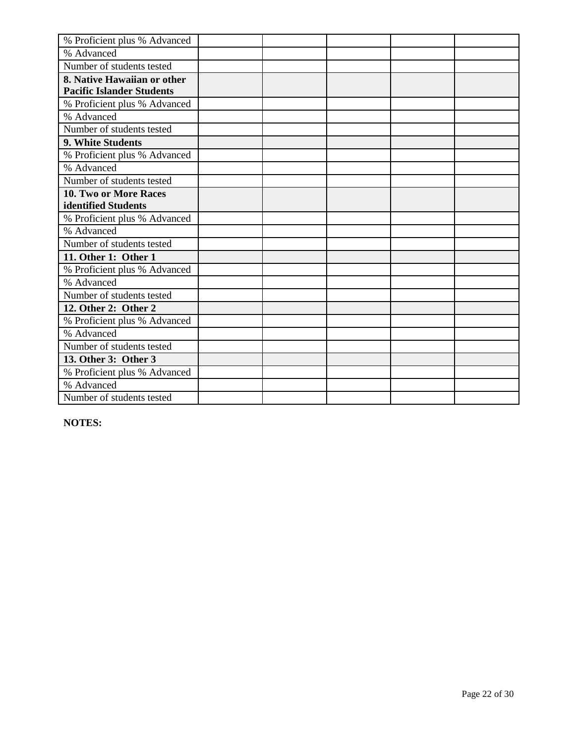| % Proficient plus % Advanced     |  |  |  |
|----------------------------------|--|--|--|
| % Advanced                       |  |  |  |
| Number of students tested        |  |  |  |
| 8. Native Hawaiian or other      |  |  |  |
| <b>Pacific Islander Students</b> |  |  |  |
| % Proficient plus % Advanced     |  |  |  |
| % Advanced                       |  |  |  |
| Number of students tested        |  |  |  |
| 9. White Students                |  |  |  |
| % Proficient plus % Advanced     |  |  |  |
| % Advanced                       |  |  |  |
| Number of students tested        |  |  |  |
| 10. Two or More Races            |  |  |  |
| identified Students              |  |  |  |
| % Proficient plus % Advanced     |  |  |  |
| % Advanced                       |  |  |  |
| Number of students tested        |  |  |  |
| 11. Other 1: Other 1             |  |  |  |
| % Proficient plus % Advanced     |  |  |  |
| % Advanced                       |  |  |  |
| Number of students tested        |  |  |  |
| 12. Other 2: Other 2             |  |  |  |
| % Proficient plus % Advanced     |  |  |  |
| % Advanced                       |  |  |  |
| Number of students tested        |  |  |  |
| 13. Other 3: Other 3             |  |  |  |
| % Proficient plus % Advanced     |  |  |  |
| % Advanced                       |  |  |  |
| Number of students tested        |  |  |  |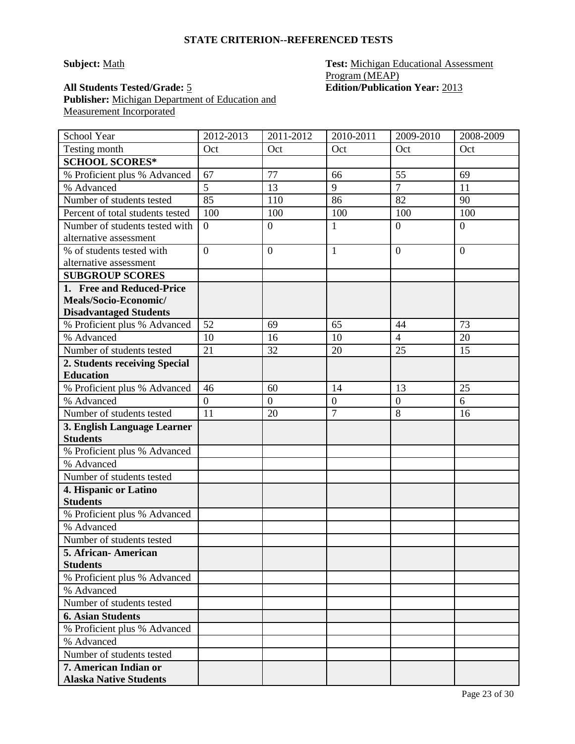# **Subject:** Math **Test:** Michigan Educational Assessment Program (MEAP)

**All Students Tested/Grade:** 5 **Edition/Publication Year:** 2013 **Publisher:** Michigan Department of Education and Measurement Incorporated

| School Year                            | 2012-2013        | 2011-2012        | 2010-2011        | 2009-2010        | 2008-2009      |
|----------------------------------------|------------------|------------------|------------------|------------------|----------------|
| Testing month                          | Oct              | Oct              | Oct              | Oct              | Oct            |
| <b>SCHOOL SCORES*</b>                  |                  |                  |                  |                  |                |
| % Proficient plus % Advanced           | 67               | 77               | 66               | 55               | 69             |
| % Advanced                             | 5                | 13               | 9                | $\overline{7}$   | 11             |
| Number of students tested              | 85               | 110              | 86               | 82               | 90             |
| Percent of total students tested       | 100              | 100              | 100              | 100              | 100            |
| Number of students tested with         | $\boldsymbol{0}$ | $\mathbf{0}$     | 1                | $\overline{0}$   | $\overline{0}$ |
| alternative assessment                 |                  |                  |                  |                  |                |
| % of students tested with              | $\overline{0}$   | $\overline{0}$   | $\mathbf{1}$     | $\overline{0}$   | $\overline{0}$ |
| alternative assessment                 |                  |                  |                  |                  |                |
| <b>SUBGROUP SCORES</b>                 |                  |                  |                  |                  |                |
| 1. Free and Reduced-Price              |                  |                  |                  |                  |                |
| Meals/Socio-Economic/                  |                  |                  |                  |                  |                |
| <b>Disadvantaged Students</b>          |                  |                  |                  |                  |                |
| % Proficient plus % Advanced           | 52               | 69               | 65               | 44               | 73             |
| % Advanced                             | 10               | 16               | 10               | $\overline{4}$   | 20             |
| Number of students tested              | 21               | 32               | 20               | 25               | 15             |
| 2. Students receiving Special          |                  |                  |                  |                  |                |
| <b>Education</b>                       |                  |                  |                  |                  |                |
| % Proficient plus % Advanced           | 46               | 60               | 14               | 13               | 25             |
| % Advanced                             | $\overline{0}$   | $\boldsymbol{0}$ | $\boldsymbol{0}$ | $\boldsymbol{0}$ | 6              |
| Number of students tested              | 11               | 20               | $\overline{7}$   | 8                | 16             |
| 3. English Language Learner            |                  |                  |                  |                  |                |
| <b>Students</b>                        |                  |                  |                  |                  |                |
| % Proficient plus % Advanced           |                  |                  |                  |                  |                |
| % Advanced                             |                  |                  |                  |                  |                |
| Number of students tested              |                  |                  |                  |                  |                |
| 4. Hispanic or Latino                  |                  |                  |                  |                  |                |
| <b>Students</b>                        |                  |                  |                  |                  |                |
| % Proficient plus % Advanced           |                  |                  |                  |                  |                |
| % Advanced                             |                  |                  |                  |                  |                |
| Number of students tested              |                  |                  |                  |                  |                |
| 5. African-American<br><b>Students</b> |                  |                  |                  |                  |                |
| % Proficient plus % Advanced           |                  |                  |                  |                  |                |
| % Advanced                             |                  |                  |                  |                  |                |
| Number of students tested              |                  |                  |                  |                  |                |
| <b>6. Asian Students</b>               |                  |                  |                  |                  |                |
| % Proficient plus % Advanced           |                  |                  |                  |                  |                |
| % Advanced                             |                  |                  |                  |                  |                |
| Number of students tested              |                  |                  |                  |                  |                |
| 7. American Indian or                  |                  |                  |                  |                  |                |
| <b>Alaska Native Students</b>          |                  |                  |                  |                  |                |
|                                        |                  |                  |                  |                  |                |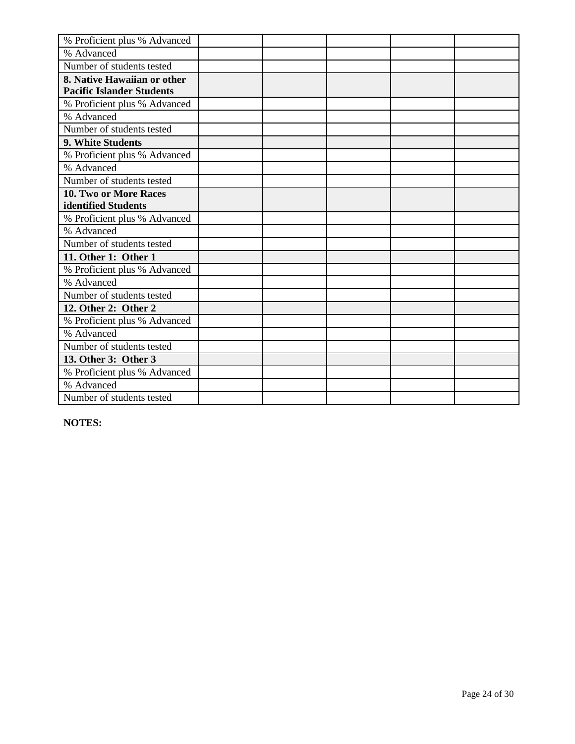| % Proficient plus % Advanced     |  |  |  |
|----------------------------------|--|--|--|
| % Advanced                       |  |  |  |
| Number of students tested        |  |  |  |
| 8. Native Hawaiian or other      |  |  |  |
| <b>Pacific Islander Students</b> |  |  |  |
| % Proficient plus % Advanced     |  |  |  |
| % Advanced                       |  |  |  |
| Number of students tested        |  |  |  |
| 9. White Students                |  |  |  |
| % Proficient plus % Advanced     |  |  |  |
| % Advanced                       |  |  |  |
| Number of students tested        |  |  |  |
| <b>10. Two or More Races</b>     |  |  |  |
| identified Students              |  |  |  |
| % Proficient plus % Advanced     |  |  |  |
| % Advanced                       |  |  |  |
| Number of students tested        |  |  |  |
| 11. Other 1: Other 1             |  |  |  |
| % Proficient plus % Advanced     |  |  |  |
| % Advanced                       |  |  |  |
| Number of students tested        |  |  |  |
| 12. Other 2: Other 2             |  |  |  |
| % Proficient plus % Advanced     |  |  |  |
| % Advanced                       |  |  |  |
| Number of students tested        |  |  |  |
| 13. Other 3: Other 3             |  |  |  |
| % Proficient plus % Advanced     |  |  |  |
| % Advanced                       |  |  |  |
| Number of students tested        |  |  |  |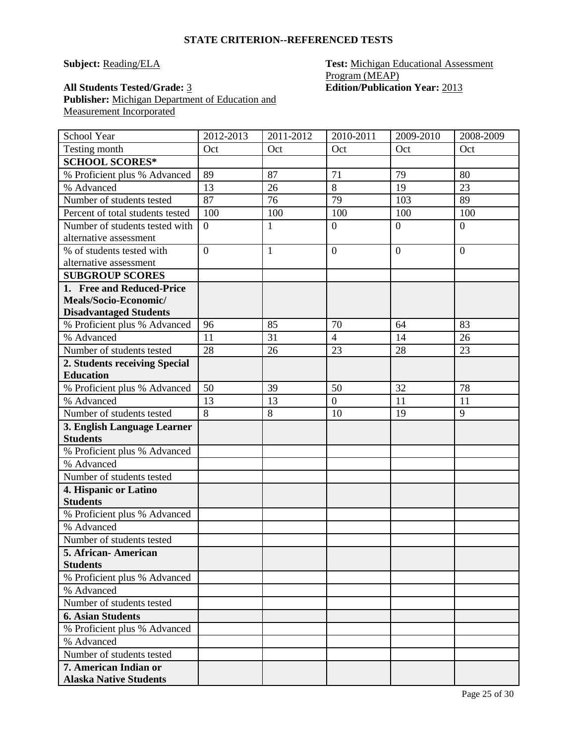**Subject: Reading/ELA Test: Michigan Educational Assessment** Program (MEAP)

**All Students Tested/Grade:** 3 **Edition/Publication Year:** 2013 **Publisher:** Michigan Department of Education and Measurement Incorporated

| School Year                      | 2012-2013        | 2011-2012    | 2010-2011      | 2009-2010      | 2008-2009      |
|----------------------------------|------------------|--------------|----------------|----------------|----------------|
| Testing month                    | Oct              | Oct          | Oct            | Oct            | Oct            |
| <b>SCHOOL SCORES*</b>            |                  |              |                |                |                |
| % Proficient plus % Advanced     | 89               | 87           | 71             | 79             | 80             |
| % Advanced                       | 13               | 26           | 8              | 19             | 23             |
| Number of students tested        | 87               | 76           | 79             | 103            | 89             |
| Percent of total students tested | 100              | 100          | 100            | 100            | 100            |
| Number of students tested with   | $\boldsymbol{0}$ | $\mathbf{1}$ | $\mathbf{0}$   | $\overline{0}$ | $\overline{0}$ |
| alternative assessment           |                  |              |                |                |                |
| % of students tested with        | $\overline{0}$   | $\mathbf{1}$ | $\overline{0}$ | $\theta$       | $\overline{0}$ |
| alternative assessment           |                  |              |                |                |                |
| <b>SUBGROUP SCORES</b>           |                  |              |                |                |                |
| 1. Free and Reduced-Price        |                  |              |                |                |                |
| Meals/Socio-Economic/            |                  |              |                |                |                |
| <b>Disadvantaged Students</b>    |                  |              |                |                |                |
| % Proficient plus % Advanced     | 96               | 85           | 70             | 64             | 83             |
| % Advanced                       | 11               | 31           | $\overline{4}$ | 14             | 26             |
| Number of students tested        | 28               | 26           | 23             | 28             | 23             |
| 2. Students receiving Special    |                  |              |                |                |                |
| <b>Education</b>                 |                  |              |                |                |                |
| % Proficient plus % Advanced     | 50               | 39           | 50             | 32             | 78             |
| % Advanced                       | 13               | 13           | $\overline{0}$ | 11             | 11             |
| Number of students tested        | 8                | 8            | 10             | 19             | 9              |
| 3. English Language Learner      |                  |              |                |                |                |
| <b>Students</b>                  |                  |              |                |                |                |
| % Proficient plus % Advanced     |                  |              |                |                |                |
| % Advanced                       |                  |              |                |                |                |
| Number of students tested        |                  |              |                |                |                |
| 4. Hispanic or Latino            |                  |              |                |                |                |
| <b>Students</b>                  |                  |              |                |                |                |
| % Proficient plus % Advanced     |                  |              |                |                |                |
| % Advanced                       |                  |              |                |                |                |
| Number of students tested        |                  |              |                |                |                |
| 5. African - American            |                  |              |                |                |                |
| <b>Students</b>                  |                  |              |                |                |                |
| % Proficient plus % Advanced     |                  |              |                |                |                |
| % Advanced                       |                  |              |                |                |                |
| Number of students tested        |                  |              |                |                |                |
| <b>6. Asian Students</b>         |                  |              |                |                |                |
| % Proficient plus % Advanced     |                  |              |                |                |                |
| % Advanced                       |                  |              |                |                |                |
| Number of students tested        |                  |              |                |                |                |
| 7. American Indian or            |                  |              |                |                |                |
| <b>Alaska Native Students</b>    |                  |              |                |                |                |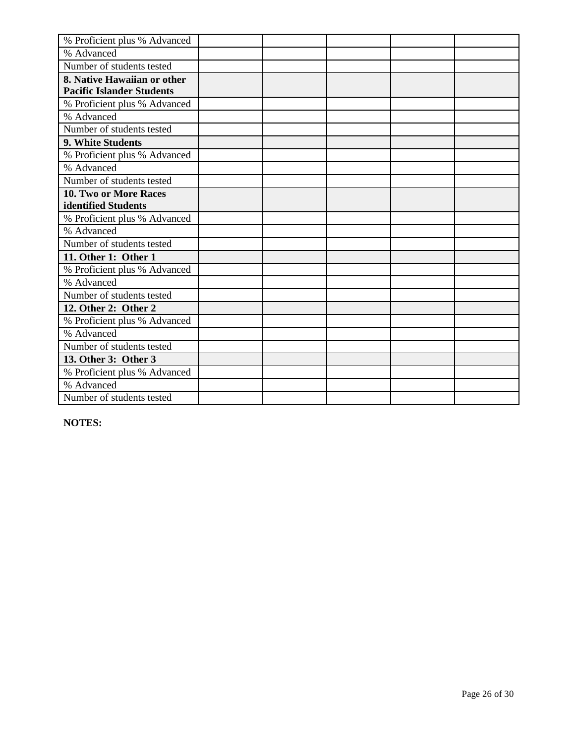| % Proficient plus % Advanced     |  |  |  |
|----------------------------------|--|--|--|
| % Advanced                       |  |  |  |
| Number of students tested        |  |  |  |
| 8. Native Hawaiian or other      |  |  |  |
| <b>Pacific Islander Students</b> |  |  |  |
| % Proficient plus % Advanced     |  |  |  |
| % Advanced                       |  |  |  |
| Number of students tested        |  |  |  |
| 9. White Students                |  |  |  |
| % Proficient plus % Advanced     |  |  |  |
| % Advanced                       |  |  |  |
| Number of students tested        |  |  |  |
| <b>10. Two or More Races</b>     |  |  |  |
| identified Students              |  |  |  |
| % Proficient plus % Advanced     |  |  |  |
| % Advanced                       |  |  |  |
| Number of students tested        |  |  |  |
| 11. Other 1: Other 1             |  |  |  |
| % Proficient plus % Advanced     |  |  |  |
| % Advanced                       |  |  |  |
| Number of students tested        |  |  |  |
| 12. Other 2: Other 2             |  |  |  |
| % Proficient plus % Advanced     |  |  |  |
| % Advanced                       |  |  |  |
| Number of students tested        |  |  |  |
| 13. Other 3: Other 3             |  |  |  |
| % Proficient plus % Advanced     |  |  |  |
| % Advanced                       |  |  |  |
| Number of students tested        |  |  |  |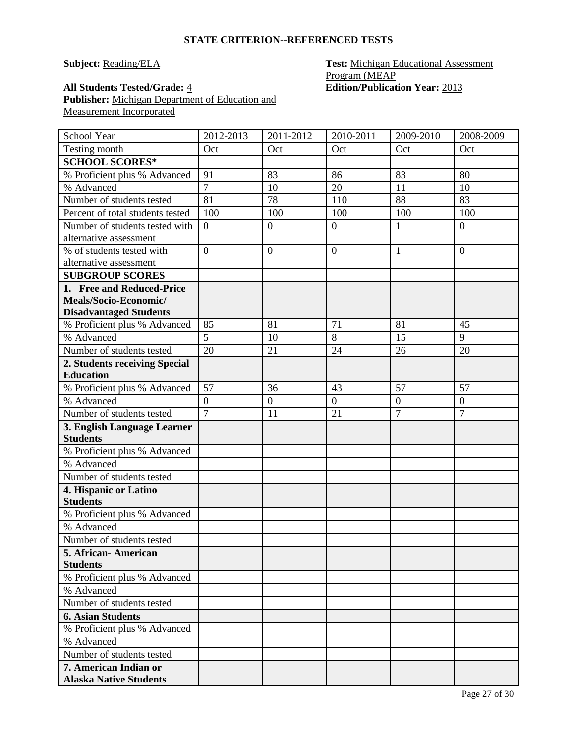**Subject: Reading/ELA Test: Michigan Educational Assessment** Program (MEAP **All Students Tested/Grade:** 4 **Edition/Publication Year:** 2013

**Publisher:** Michigan Department of Education and Measurement Incorporated

| School Year                      | 2012-2013        | 2011-2012      | 2010-2011      | 2009-2010        | 2008-2009        |
|----------------------------------|------------------|----------------|----------------|------------------|------------------|
| Testing month                    | Oct              | Oct            | Oct            | Oct              | Oct              |
| <b>SCHOOL SCORES*</b>            |                  |                |                |                  |                  |
| % Proficient plus % Advanced     | 91               | 83             | 86             | 83               | 80               |
| % Advanced                       | $\overline{7}$   | 10             | 20             | 11               | 10               |
| Number of students tested        | 81               | 78             | 110            | 88               | 83               |
| Percent of total students tested | 100              | 100            | 100            | 100              | 100              |
| Number of students tested with   | $\boldsymbol{0}$ | $\overline{0}$ | $\overline{0}$ | 1                | $\boldsymbol{0}$ |
| alternative assessment           |                  |                |                |                  |                  |
| % of students tested with        | $\overline{0}$   | $\overline{0}$ | $\overline{0}$ | 1                | $\overline{0}$   |
| alternative assessment           |                  |                |                |                  |                  |
| <b>SUBGROUP SCORES</b>           |                  |                |                |                  |                  |
| 1. Free and Reduced-Price        |                  |                |                |                  |                  |
| Meals/Socio-Economic/            |                  |                |                |                  |                  |
| <b>Disadvantaged Students</b>    |                  |                |                |                  |                  |
| % Proficient plus % Advanced     | 85               | 81             | 71             | 81               | 45               |
| % Advanced                       | $\overline{5}$   | 10             | $\overline{8}$ | 15               | 9                |
| Number of students tested        | 20               | 21             | 24             | 26               | 20               |
| 2. Students receiving Special    |                  |                |                |                  |                  |
| <b>Education</b>                 |                  |                |                |                  |                  |
| % Proficient plus % Advanced     | 57               | 36             | 43             | 57               | 57               |
| % Advanced                       | $\overline{0}$   | $\mathbf{0}$   | $\mathbf{0}$   | $\boldsymbol{0}$ | $\boldsymbol{0}$ |
| Number of students tested        | $\overline{7}$   | 11             | 21             | $\overline{7}$   | $\overline{7}$   |
| 3. English Language Learner      |                  |                |                |                  |                  |
| <b>Students</b>                  |                  |                |                |                  |                  |
| % Proficient plus % Advanced     |                  |                |                |                  |                  |
| % Advanced                       |                  |                |                |                  |                  |
| Number of students tested        |                  |                |                |                  |                  |
| 4. Hispanic or Latino            |                  |                |                |                  |                  |
| <b>Students</b>                  |                  |                |                |                  |                  |
| % Proficient plus % Advanced     |                  |                |                |                  |                  |
| % Advanced                       |                  |                |                |                  |                  |
| Number of students tested        |                  |                |                |                  |                  |
| 5. African-American              |                  |                |                |                  |                  |
| <b>Students</b>                  |                  |                |                |                  |                  |
| % Proficient plus % Advanced     |                  |                |                |                  |                  |
| % Advanced                       |                  |                |                |                  |                  |
| Number of students tested        |                  |                |                |                  |                  |
| <b>6. Asian Students</b>         |                  |                |                |                  |                  |
| % Proficient plus % Advanced     |                  |                |                |                  |                  |
| % Advanced                       |                  |                |                |                  |                  |
| Number of students tested        |                  |                |                |                  |                  |
| 7. American Indian or            |                  |                |                |                  |                  |
| <b>Alaska Native Students</b>    |                  |                |                |                  |                  |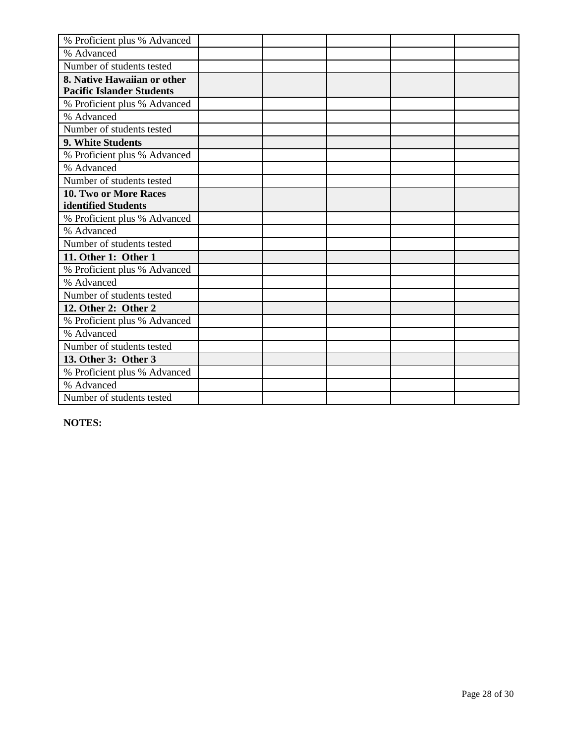| % Proficient plus % Advanced     |  |  |  |
|----------------------------------|--|--|--|
| % Advanced                       |  |  |  |
| Number of students tested        |  |  |  |
| 8. Native Hawaiian or other      |  |  |  |
| <b>Pacific Islander Students</b> |  |  |  |
| % Proficient plus % Advanced     |  |  |  |
| % Advanced                       |  |  |  |
| Number of students tested        |  |  |  |
| 9. White Students                |  |  |  |
| % Proficient plus % Advanced     |  |  |  |
| % Advanced                       |  |  |  |
| Number of students tested        |  |  |  |
| <b>10. Two or More Races</b>     |  |  |  |
| identified Students              |  |  |  |
| % Proficient plus % Advanced     |  |  |  |
| % Advanced                       |  |  |  |
| Number of students tested        |  |  |  |
| 11. Other 1: Other 1             |  |  |  |
| % Proficient plus % Advanced     |  |  |  |
| % Advanced                       |  |  |  |
| Number of students tested        |  |  |  |
| 12. Other 2: Other 2             |  |  |  |
| % Proficient plus % Advanced     |  |  |  |
| % Advanced                       |  |  |  |
| Number of students tested        |  |  |  |
| 13. Other 3: Other 3             |  |  |  |
| % Proficient plus % Advanced     |  |  |  |
| % Advanced                       |  |  |  |
| Number of students tested        |  |  |  |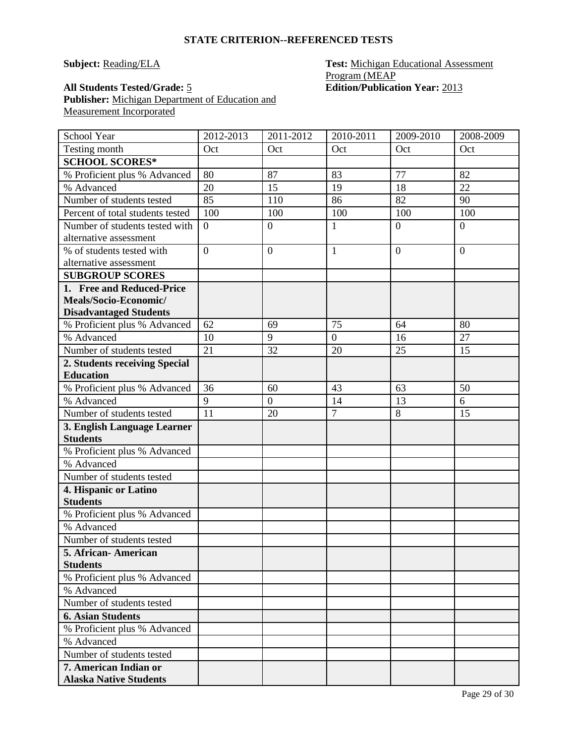**Subject: Reading/ELA Test: Michigan Educational Assessment** Program (MEAP **All Students Tested/Grade:** 5 **Edition/Publication Year:** 2013

**Publisher:** Michigan Department of Education and Measurement Incorporated

| School Year                                | 2012-2013      | 2011-2012        | 2010-2011      | 2009-2010      | 2008-2009      |
|--------------------------------------------|----------------|------------------|----------------|----------------|----------------|
| Testing month                              | Oct            | Oct              | Oct            | Oct            | Oct            |
| <b>SCHOOL SCORES*</b>                      |                |                  |                |                |                |
| % Proficient plus % Advanced               | 80             | 87               | 83             | 77             | 82             |
| % Advanced                                 | 20             | 15               | 19             | 18             | 22             |
| Number of students tested                  | 85             | 110              | 86             | 82             | 90             |
| Percent of total students tested           | 100            | 100              | 100            | 100            | 100            |
| Number of students tested with             | $\theta$       | $\overline{0}$   | $\mathbf{1}$   | $\overline{0}$ | $\overline{0}$ |
| alternative assessment                     |                |                  |                |                |                |
| % of students tested with                  | $\overline{0}$ | $\boldsymbol{0}$ | $\mathbf{1}$   | $\overline{0}$ | $\overline{0}$ |
| alternative assessment                     |                |                  |                |                |                |
| <b>SUBGROUP SCORES</b>                     |                |                  |                |                |                |
| 1. Free and Reduced-Price                  |                |                  |                |                |                |
| Meals/Socio-Economic/                      |                |                  |                |                |                |
| <b>Disadvantaged Students</b>              |                |                  |                |                |                |
| % Proficient plus % Advanced               | 62             | 69               | 75             | 64             | 80             |
| % Advanced                                 | 10             | 9                | $\overline{0}$ | 16             | 27             |
| Number of students tested                  | 21             | 32               | 20             | 25             | 15             |
| 2. Students receiving Special              |                |                  |                |                |                |
| <b>Education</b>                           |                |                  |                |                |                |
| % Proficient plus % Advanced               | 36             | 60               | 43             | 63             | 50             |
| % Advanced                                 | 9              | $\overline{0}$   | 14             | 13             | 6              |
| Number of students tested                  | 11             | 20               | $\overline{7}$ | 8              | 15             |
| 3. English Language Learner                |                |                  |                |                |                |
| <b>Students</b>                            |                |                  |                |                |                |
| % Proficient plus % Advanced               |                |                  |                |                |                |
| % Advanced                                 |                |                  |                |                |                |
| Number of students tested                  |                |                  |                |                |                |
| 4. Hispanic or Latino                      |                |                  |                |                |                |
| <b>Students</b>                            |                |                  |                |                |                |
| % Proficient plus % Advanced<br>% Advanced |                |                  |                |                |                |
| Number of students tested                  |                |                  |                |                |                |
| 5. African-American                        |                |                  |                |                |                |
| <b>Students</b>                            |                |                  |                |                |                |
| % Proficient plus % Advanced               |                |                  |                |                |                |
| % Advanced                                 |                |                  |                |                |                |
| Number of students tested                  |                |                  |                |                |                |
| <b>6. Asian Students</b>                   |                |                  |                |                |                |
| % Proficient plus % Advanced               |                |                  |                |                |                |
| % Advanced                                 |                |                  |                |                |                |
| Number of students tested                  |                |                  |                |                |                |
| 7. American Indian or                      |                |                  |                |                |                |
| <b>Alaska Native Students</b>              |                |                  |                |                |                |